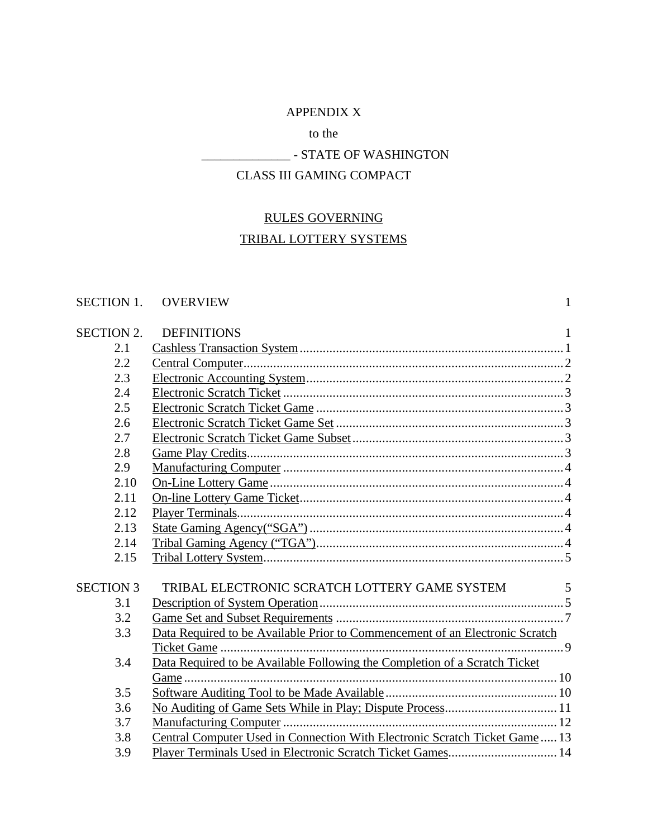## APPENDIX X

## to the

## \_\_\_\_\_\_\_\_\_\_\_\_\_\_ - STATE OF WASHINGTON

## CLASS III GAMING COMPACT

# RULES GOVERNING

# TRIBAL LOTTERY SYSTEMS

## SECTION 1. OVERVIEW 1

| <b>SECTION 2.</b> | <b>DEFINITIONS</b>                                                           | $\mathbf{1}$ |
|-------------------|------------------------------------------------------------------------------|--------------|
| 2.1               |                                                                              |              |
| 2.2               |                                                                              |              |
| 2.3               |                                                                              |              |
| 2.4               |                                                                              |              |
| 2.5               |                                                                              |              |
| 2.6               |                                                                              |              |
| 2.7               |                                                                              |              |
| 2.8               |                                                                              |              |
| 2.9               |                                                                              |              |
| 2.10              |                                                                              |              |
| 2.11              |                                                                              |              |
| 2.12              |                                                                              |              |
| 2.13              |                                                                              |              |
| 2.14              |                                                                              |              |
| 2.15              |                                                                              |              |
|                   |                                                                              |              |
| <b>SECTION 3</b>  | TRIBAL ELECTRONIC SCRATCH LOTTERY GAME SYSTEM                                | 5            |
| 3.1               |                                                                              |              |
| 3.2               |                                                                              |              |
| 3.3               | Data Required to be Available Prior to Commencement of an Electronic Scratch |              |
|                   |                                                                              |              |
| 3.4               | Data Required to be Available Following the Completion of a Scratch Ticket   |              |
|                   |                                                                              |              |
| 3.5               |                                                                              |              |
| 3.6               |                                                                              |              |
| 3.7               |                                                                              |              |
| 3.8               | Central Computer Used in Connection With Electronic Scratch Ticket Game 13   |              |
| 3.9               |                                                                              |              |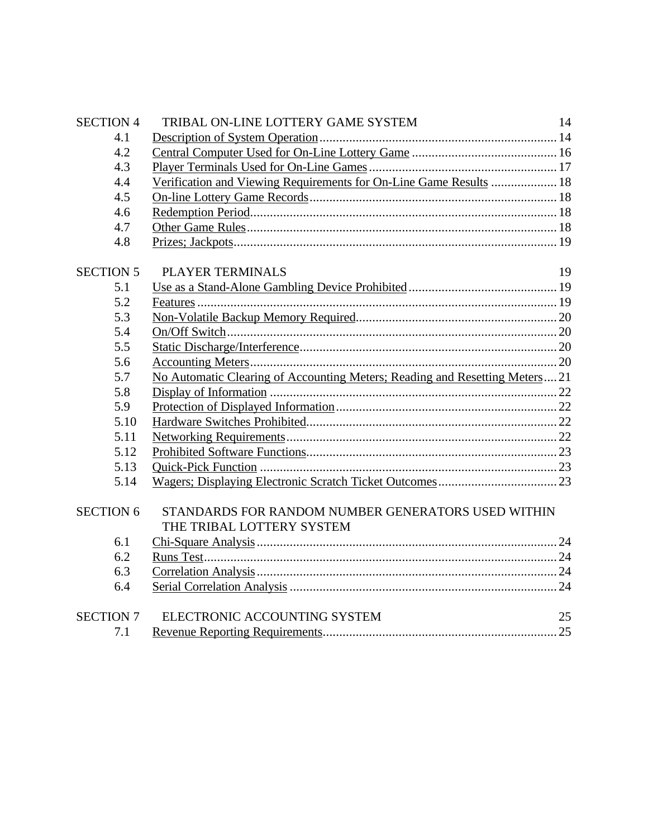| <b>SECTION 4</b> | TRIBAL ON-LINE LOTTERY GAME SYSTEM                                              | 14 |
|------------------|---------------------------------------------------------------------------------|----|
| 4.1              |                                                                                 |    |
| 4.2              |                                                                                 |    |
| 4.3              |                                                                                 |    |
| 4.4              | Verification and Viewing Requirements for On-Line Game Results  18              |    |
| 4.5              |                                                                                 |    |
| 4.6              |                                                                                 |    |
| 4.7              |                                                                                 |    |
| 4.8              |                                                                                 |    |
| <b>SECTION 5</b> | PLAYER TERMINALS                                                                | 19 |
| 5.1              |                                                                                 |    |
| 5.2              |                                                                                 |    |
| 5.3              |                                                                                 |    |
| 5.4              |                                                                                 |    |
| 5.5              |                                                                                 |    |
| 5.6              |                                                                                 |    |
| 5.7              | No Automatic Clearing of Accounting Meters; Reading and Resetting Meters21      |    |
| 5.8              |                                                                                 |    |
| 5.9              |                                                                                 |    |
| 5.10             |                                                                                 |    |
| 5.11             |                                                                                 |    |
| 5.12             |                                                                                 |    |
| 5.13             |                                                                                 |    |
| 5.14             |                                                                                 |    |
| <b>SECTION 6</b> | STANDARDS FOR RANDOM NUMBER GENERATORS USED WITHIN<br>THE TRIBAL LOTTERY SYSTEM |    |
| 6.1              |                                                                                 |    |
| 6.2              |                                                                                 |    |
| 6.3              |                                                                                 |    |
| 6.4              |                                                                                 |    |
| <b>SECTION 7</b> | ELECTRONIC ACCOUNTING SYSTEM                                                    | 25 |
| 7.1              |                                                                                 |    |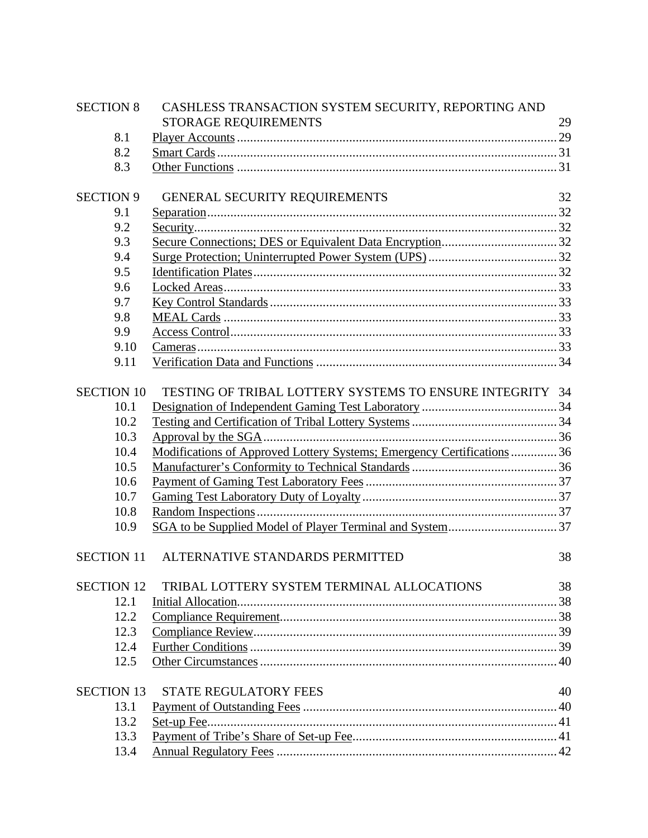| <b>SECTION 8</b>  | CASHLESS TRANSACTION SYSTEM SECURITY, REPORTING AND                                             |    |
|-------------------|-------------------------------------------------------------------------------------------------|----|
|                   | STORAGE REQUIREMENTS                                                                            | 29 |
| 8.1               |                                                                                                 |    |
| 8.2               |                                                                                                 |    |
| 8.3               |                                                                                                 |    |
| <b>SECTION 9</b>  | <b>GENERAL SECURITY REQUIREMENTS</b>                                                            | 32 |
| 9.1               | ${\underline{\bf Separation}}.\dots {\underline{\bf{0}}.32}$                                    |    |
| 9.2               |                                                                                                 |    |
| 9.3               |                                                                                                 |    |
| 9.4               |                                                                                                 |    |
| 9.5               |                                                                                                 |    |
| 9.6               |                                                                                                 |    |
| 9.7               |                                                                                                 |    |
| 9.8               |                                                                                                 |    |
| 9.9               |                                                                                                 |    |
| 9.10              |                                                                                                 |    |
| 9.11              |                                                                                                 |    |
|                   |                                                                                                 |    |
| <b>SECTION 10</b> | TESTING OF TRIBAL LOTTERY SYSTEMS TO ENSURE INTEGRITY 34                                        |    |
| 10.1              |                                                                                                 |    |
| 10.2              |                                                                                                 |    |
| 10.3<br>10.4      | Approval by the SGA.<br>Modifications of Approved Lottery Systems; Emergency Certifications  36 |    |
| 10.5              |                                                                                                 |    |
| 10.6              |                                                                                                 |    |
| 10.7              |                                                                                                 |    |
| 10.8              |                                                                                                 |    |
| 10.9              |                                                                                                 |    |
|                   |                                                                                                 |    |
| <b>SECTION 11</b> | ALTERNATIVE STANDARDS PERMITTED                                                                 | 38 |
| <b>SECTION 12</b> | TRIBAL LOTTERY SYSTEM TERMINAL ALLOCATIONS                                                      | 38 |
| 12.1              |                                                                                                 |    |
| 12.2              |                                                                                                 |    |
| 12.3              |                                                                                                 |    |
| 12.4              |                                                                                                 |    |
| 12.5              |                                                                                                 |    |
| <b>SECTION 13</b> | <b>STATE REGULATORY FEES</b>                                                                    | 40 |
| 13.1              |                                                                                                 |    |
| 13.2              |                                                                                                 |    |
| 13.3              |                                                                                                 |    |
| 13.4              |                                                                                                 |    |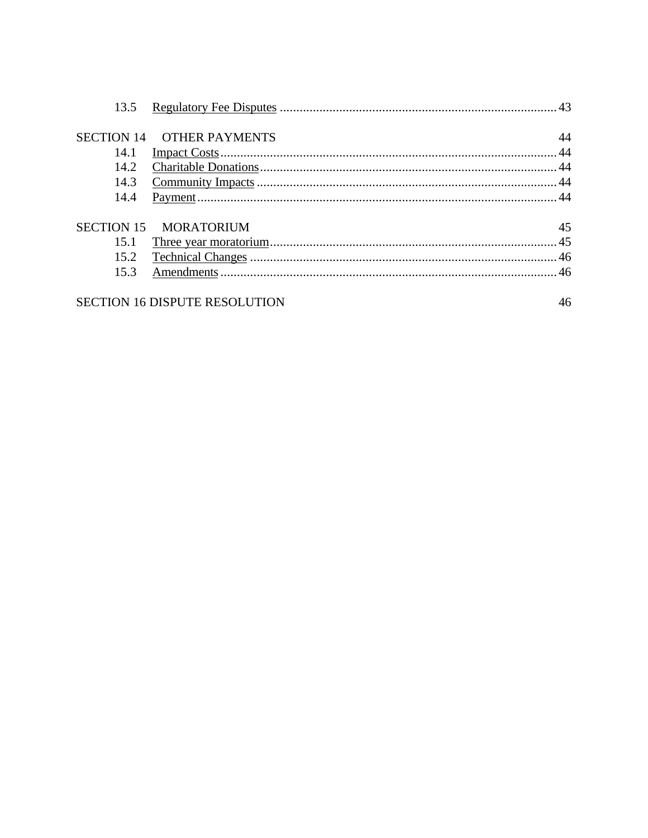| <b>OTHER PAYMENTS</b> | 44                                                                                 |
|-----------------------|------------------------------------------------------------------------------------|
|                       |                                                                                    |
|                       |                                                                                    |
|                       |                                                                                    |
|                       |                                                                                    |
|                       |                                                                                    |
|                       | 45                                                                                 |
|                       |                                                                                    |
|                       |                                                                                    |
|                       |                                                                                    |
|                       | 46                                                                                 |
|                       | <b>SECTION 14</b><br>SECTION 15 MORATORIUM<br><b>SECTION 16 DISPUTE RESOLUTION</b> |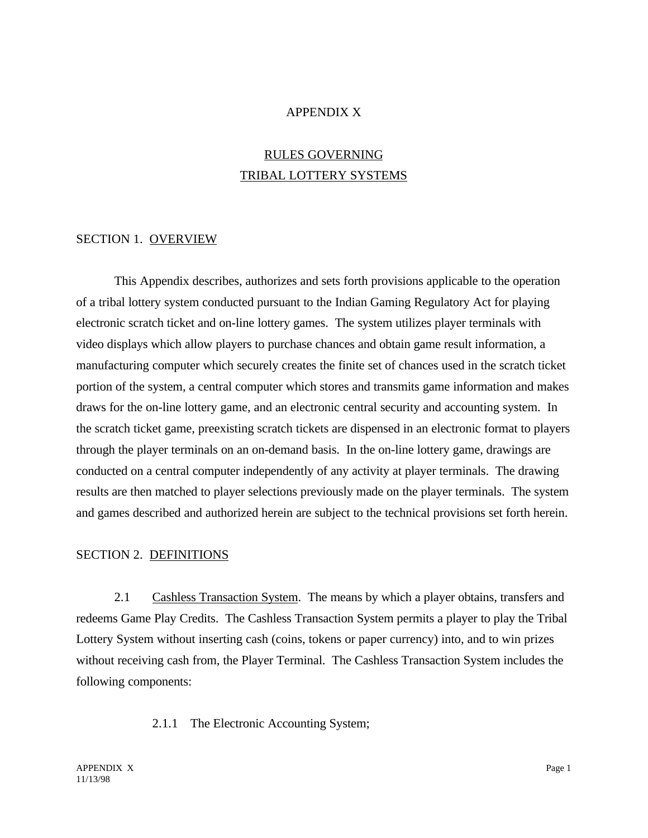#### APPENDIX X

## RULES GOVERNING TRIBAL LOTTERY SYSTEMS

#### SECTION 1. OVERVIEW

This Appendix describes, authorizes and sets forth provisions applicable to the operation of a tribal lottery system conducted pursuant to the Indian Gaming Regulatory Act for playing electronic scratch ticket and on-line lottery games. The system utilizes player terminals with video displays which allow players to purchase chances and obtain game result information, a manufacturing computer which securely creates the finite set of chances used in the scratch ticket portion of the system, a central computer which stores and transmits game information and makes draws for the on-line lottery game, and an electronic central security and accounting system. In the scratch ticket game, preexisting scratch tickets are dispensed in an electronic format to players through the player terminals on an on-demand basis. In the on-line lottery game, drawings are conducted on a central computer independently of any activity at player terminals. The drawing results are then matched to player selections previously made on the player terminals. The system and games described and authorized herein are subject to the technical provisions set forth herein.

#### SECTION 2. DEFINITIONS

2.1 Cashless Transaction System. The means by which a player obtains, transfers and redeems Game Play Credits. The Cashless Transaction System permits a player to play the Tribal Lottery System without inserting cash (coins, tokens or paper currency) into, and to win prizes without receiving cash from, the Player Terminal. The Cashless Transaction System includes the following components:

2.1.1 The Electronic Accounting System;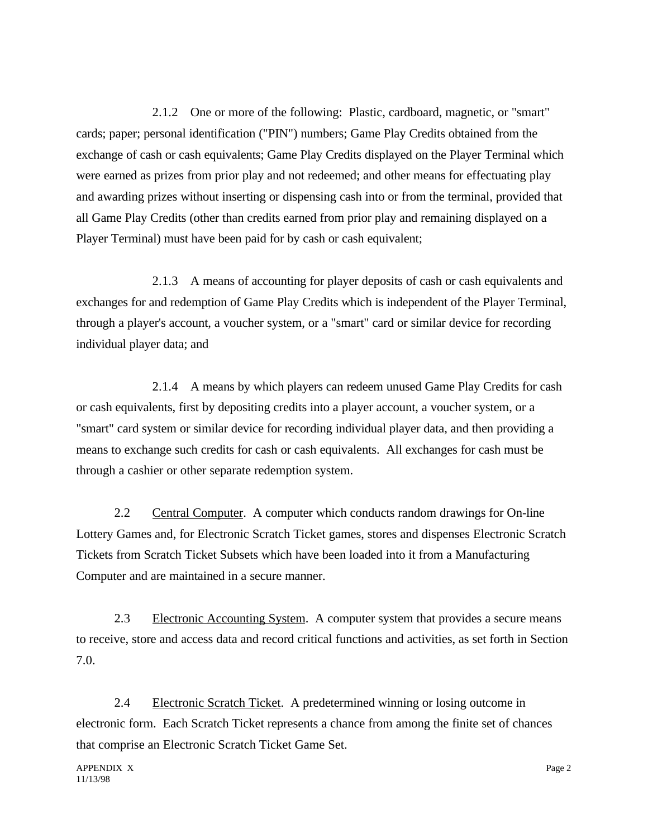2.1.2 One or more of the following: Plastic, cardboard, magnetic, or "smart" cards; paper; personal identification ("PIN") numbers; Game Play Credits obtained from the exchange of cash or cash equivalents; Game Play Credits displayed on the Player Terminal which were earned as prizes from prior play and not redeemed; and other means for effectuating play and awarding prizes without inserting or dispensing cash into or from the terminal, provided that all Game Play Credits (other than credits earned from prior play and remaining displayed on a Player Terminal) must have been paid for by cash or cash equivalent;

2.1.3 A means of accounting for player deposits of cash or cash equivalents and exchanges for and redemption of Game Play Credits which is independent of the Player Terminal, through a player's account, a voucher system, or a "smart" card or similar device for recording individual player data; and

2.1.4 A means by which players can redeem unused Game Play Credits for cash or cash equivalents, first by depositing credits into a player account, a voucher system, or a "smart" card system or similar device for recording individual player data, and then providing a means to exchange such credits for cash or cash equivalents. All exchanges for cash must be through a cashier or other separate redemption system.

2.2 Central Computer. A computer which conducts random drawings for On-line Lottery Games and, for Electronic Scratch Ticket games, stores and dispenses Electronic Scratch Tickets from Scratch Ticket Subsets which have been loaded into it from a Manufacturing Computer and are maintained in a secure manner.

2.3 Electronic Accounting System. A computer system that provides a secure means to receive, store and access data and record critical functions and activities, as set forth in Section 7.0.

2.4 Electronic Scratch Ticket. A predetermined winning or losing outcome in electronic form. Each Scratch Ticket represents a chance from among the finite set of chances that comprise an Electronic Scratch Ticket Game Set.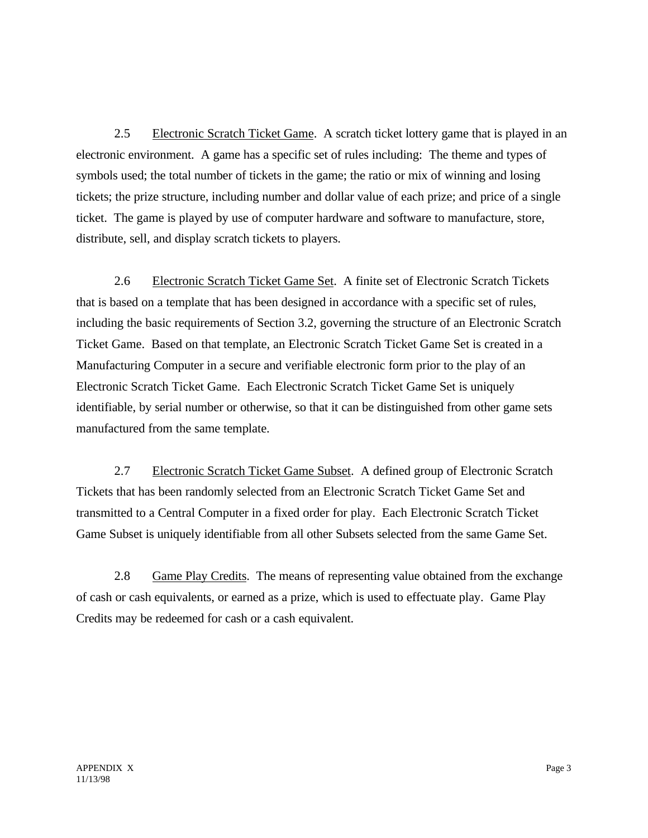2.5 Electronic Scratch Ticket Game. A scratch ticket lottery game that is played in an electronic environment. A game has a specific set of rules including: The theme and types of symbols used; the total number of tickets in the game; the ratio or mix of winning and losing tickets; the prize structure, including number and dollar value of each prize; and price of a single ticket. The game is played by use of computer hardware and software to manufacture, store, distribute, sell, and display scratch tickets to players.

2.6 Electronic Scratch Ticket Game Set. A finite set of Electronic Scratch Tickets that is based on a template that has been designed in accordance with a specific set of rules, including the basic requirements of Section 3.2, governing the structure of an Electronic Scratch Ticket Game. Based on that template, an Electronic Scratch Ticket Game Set is created in a Manufacturing Computer in a secure and verifiable electronic form prior to the play of an Electronic Scratch Ticket Game. Each Electronic Scratch Ticket Game Set is uniquely identifiable, by serial number or otherwise, so that it can be distinguished from other game sets manufactured from the same template.

2.7 Electronic Scratch Ticket Game Subset. A defined group of Electronic Scratch Tickets that has been randomly selected from an Electronic Scratch Ticket Game Set and transmitted to a Central Computer in a fixed order for play. Each Electronic Scratch Ticket Game Subset is uniquely identifiable from all other Subsets selected from the same Game Set.

2.8 Game Play Credits. The means of representing value obtained from the exchange of cash or cash equivalents, or earned as a prize, which is used to effectuate play. Game Play Credits may be redeemed for cash or a cash equivalent.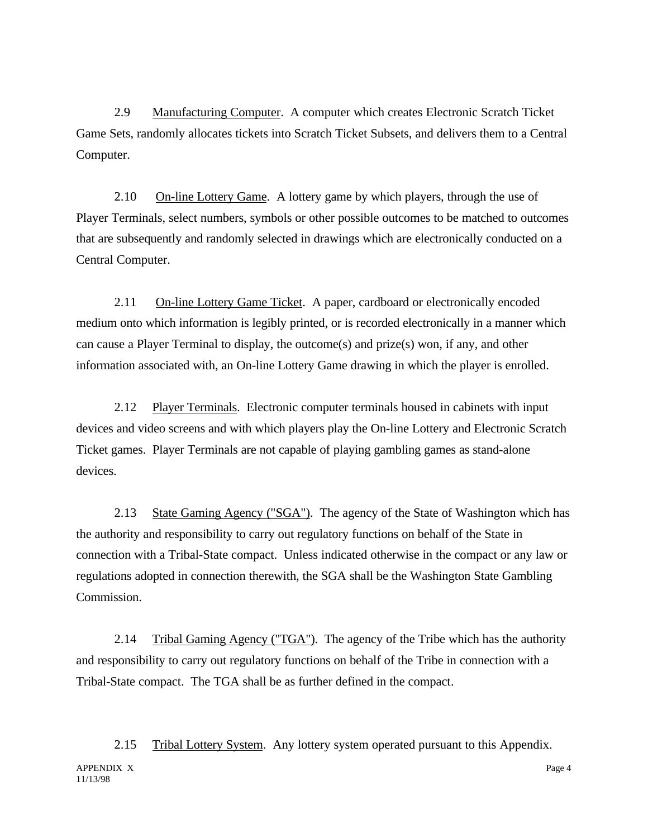2.9 Manufacturing Computer. A computer which creates Electronic Scratch Ticket Game Sets, randomly allocates tickets into Scratch Ticket Subsets, and delivers them to a Central Computer.

2.10 On-line Lottery Game. A lottery game by which players, through the use of Player Terminals, select numbers, symbols or other possible outcomes to be matched to outcomes that are subsequently and randomly selected in drawings which are electronically conducted on a Central Computer.

2.11 On-line Lottery Game Ticket. A paper, cardboard or electronically encoded medium onto which information is legibly printed, or is recorded electronically in a manner which can cause a Player Terminal to display, the outcome(s) and prize(s) won, if any, and other information associated with, an On-line Lottery Game drawing in which the player is enrolled.

2.12 Player Terminals. Electronic computer terminals housed in cabinets with input devices and video screens and with which players play the On-line Lottery and Electronic Scratch Ticket games. Player Terminals are not capable of playing gambling games as stand-alone devices.

2.13 State Gaming Agency ("SGA"). The agency of the State of Washington which has the authority and responsibility to carry out regulatory functions on behalf of the State in connection with a Tribal-State compact. Unless indicated otherwise in the compact or any law or regulations adopted in connection therewith, the SGA shall be the Washington State Gambling Commission.

2.14 Tribal Gaming Agency ("TGA"). The agency of the Tribe which has the authority and responsibility to carry out regulatory functions on behalf of the Tribe in connection with a Tribal-State compact. The TGA shall be as further defined in the compact.

APPENDIX X Page 4 11/13/98 2.15 Tribal Lottery System. Any lottery system operated pursuant to this Appendix.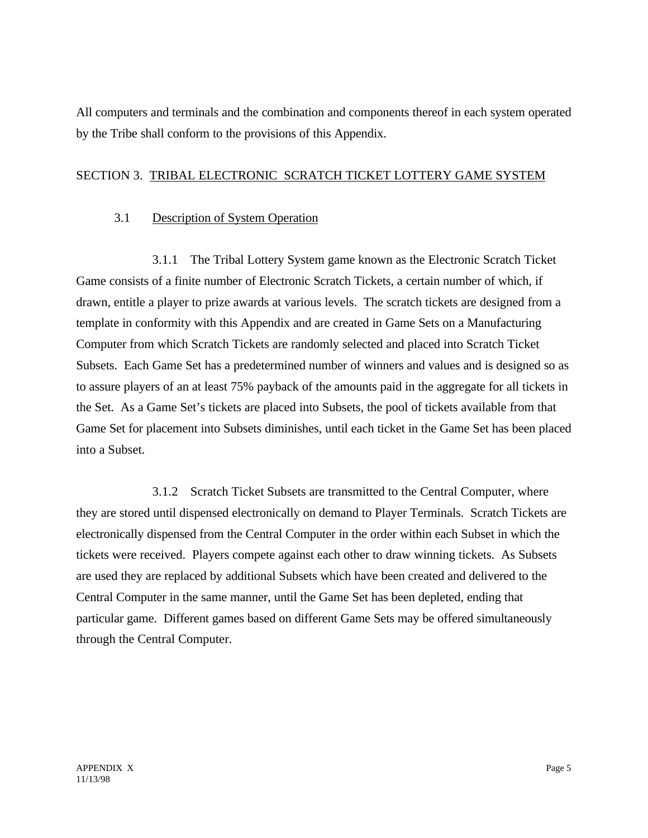All computers and terminals and the combination and components thereof in each system operated by the Tribe shall conform to the provisions of this Appendix.

### SECTION 3. TRIBAL ELECTRONIC SCRATCH TICKET LOTTERY GAME SYSTEM

## 3.1 Description of System Operation

3.1.1 The Tribal Lottery System game known as the Electronic Scratch Ticket Game consists of a finite number of Electronic Scratch Tickets, a certain number of which, if drawn, entitle a player to prize awards at various levels. The scratch tickets are designed from a template in conformity with this Appendix and are created in Game Sets on a Manufacturing Computer from which Scratch Tickets are randomly selected and placed into Scratch Ticket Subsets. Each Game Set has a predetermined number of winners and values and is designed so as to assure players of an at least 75% payback of the amounts paid in the aggregate for all tickets in the Set. As a Game Set's tickets are placed into Subsets, the pool of tickets available from that Game Set for placement into Subsets diminishes, until each ticket in the Game Set has been placed into a Subset.

3.1.2 Scratch Ticket Subsets are transmitted to the Central Computer, where they are stored until dispensed electronically on demand to Player Terminals. Scratch Tickets are electronically dispensed from the Central Computer in the order within each Subset in which the tickets were received. Players compete against each other to draw winning tickets. As Subsets are used they are replaced by additional Subsets which have been created and delivered to the Central Computer in the same manner, until the Game Set has been depleted, ending that particular game. Different games based on different Game Sets may be offered simultaneously through the Central Computer.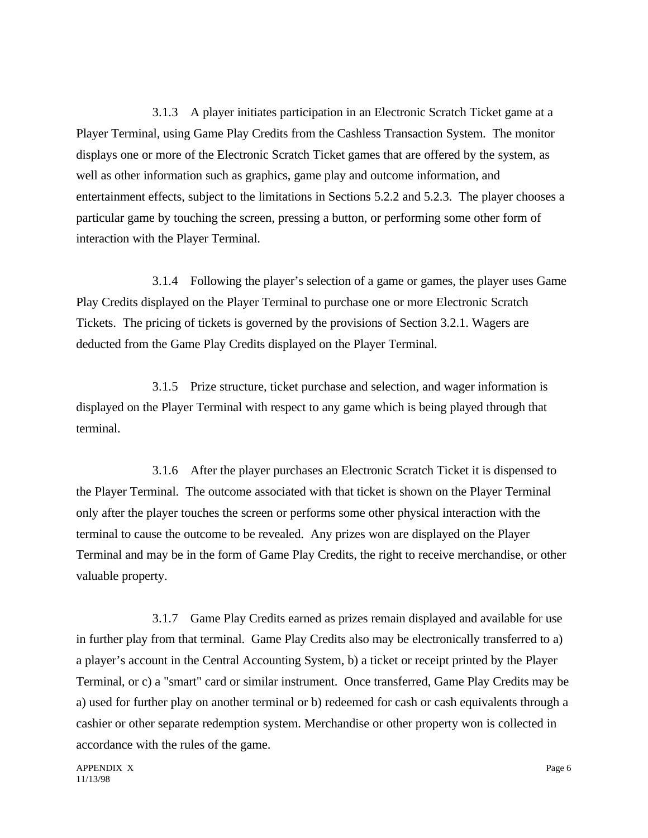3.1.3 A player initiates participation in an Electronic Scratch Ticket game at a Player Terminal, using Game Play Credits from the Cashless Transaction System. The monitor displays one or more of the Electronic Scratch Ticket games that are offered by the system, as well as other information such as graphics, game play and outcome information, and entertainment effects, subject to the limitations in Sections 5.2.2 and 5.2.3. The player chooses a particular game by touching the screen, pressing a button, or performing some other form of interaction with the Player Terminal.

3.1.4 Following the player's selection of a game or games, the player uses Game Play Credits displayed on the Player Terminal to purchase one or more Electronic Scratch Tickets. The pricing of tickets is governed by the provisions of Section 3.2.1. Wagers are deducted from the Game Play Credits displayed on the Player Terminal.

3.1.5 Prize structure, ticket purchase and selection, and wager information is displayed on the Player Terminal with respect to any game which is being played through that terminal.

3.1.6 After the player purchases an Electronic Scratch Ticket it is dispensed to the Player Terminal. The outcome associated with that ticket is shown on the Player Terminal only after the player touches the screen or performs some other physical interaction with the terminal to cause the outcome to be revealed. Any prizes won are displayed on the Player Terminal and may be in the form of Game Play Credits, the right to receive merchandise, or other valuable property.

3.1.7 Game Play Credits earned as prizes remain displayed and available for use in further play from that terminal. Game Play Credits also may be electronically transferred to a) a player's account in the Central Accounting System, b) a ticket or receipt printed by the Player Terminal, or c) a "smart" card or similar instrument. Once transferred, Game Play Credits may be a) used for further play on another terminal or b) redeemed for cash or cash equivalents through a cashier or other separate redemption system. Merchandise or other property won is collected in accordance with the rules of the game.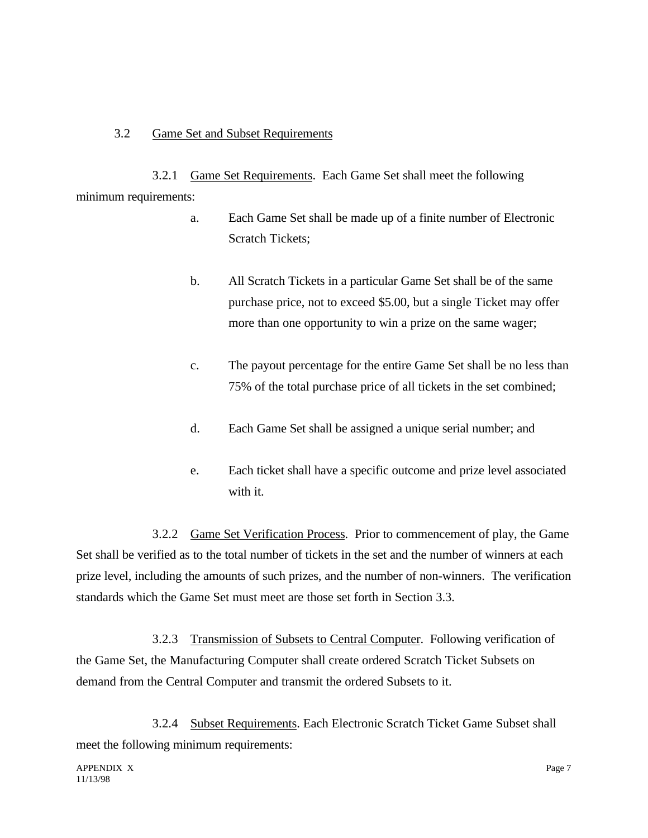### 3.2 Game Set and Subset Requirements

3.2.1 Game Set Requirements. Each Game Set shall meet the following minimum requirements:

- a. Each Game Set shall be made up of a finite number of Electronic Scratch Tickets;
- b. All Scratch Tickets in a particular Game Set shall be of the same purchase price, not to exceed \$5.00, but a single Ticket may offer more than one opportunity to win a prize on the same wager;
- c. The payout percentage for the entire Game Set shall be no less than 75% of the total purchase price of all tickets in the set combined;
- d. Each Game Set shall be assigned a unique serial number; and
- e. Each ticket shall have a specific outcome and prize level associated with it.

3.2.2 Game Set Verification Process. Prior to commencement of play, the Game Set shall be verified as to the total number of tickets in the set and the number of winners at each prize level, including the amounts of such prizes, and the number of non-winners. The verification standards which the Game Set must meet are those set forth in Section 3.3.

3.2.3 Transmission of Subsets to Central Computer. Following verification of the Game Set, the Manufacturing Computer shall create ordered Scratch Ticket Subsets on demand from the Central Computer and transmit the ordered Subsets to it.

3.2.4 Subset Requirements. Each Electronic Scratch Ticket Game Subset shall meet the following minimum requirements: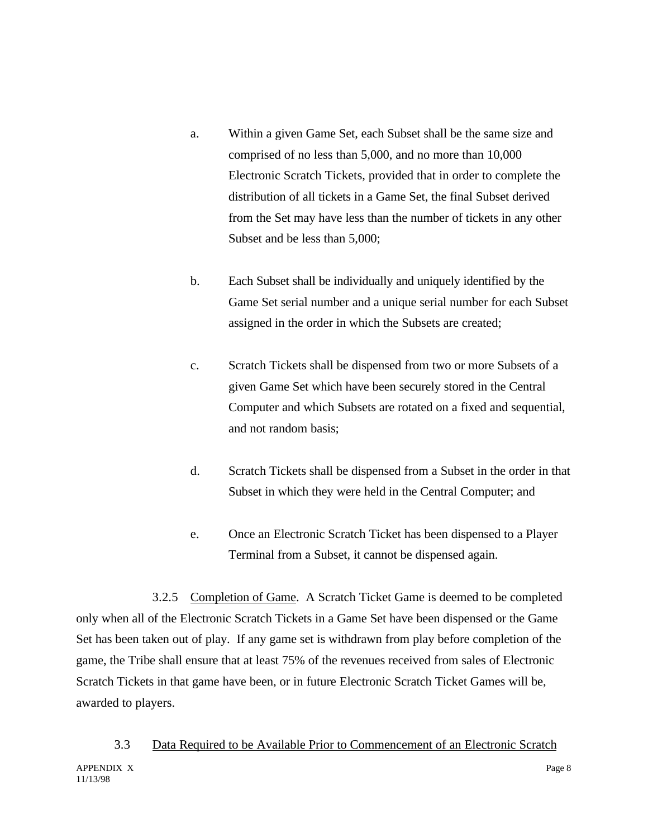- a. Within a given Game Set, each Subset shall be the same size and comprised of no less than 5,000, and no more than 10,000 Electronic Scratch Tickets, provided that in order to complete the distribution of all tickets in a Game Set, the final Subset derived from the Set may have less than the number of tickets in any other Subset and be less than 5,000;
- b. Each Subset shall be individually and uniquely identified by the Game Set serial number and a unique serial number for each Subset assigned in the order in which the Subsets are created;
- c. Scratch Tickets shall be dispensed from two or more Subsets of a given Game Set which have been securely stored in the Central Computer and which Subsets are rotated on a fixed and sequential, and not random basis;
- d. Scratch Tickets shall be dispensed from a Subset in the order in that Subset in which they were held in the Central Computer; and
- e. Once an Electronic Scratch Ticket has been dispensed to a Player Terminal from a Subset, it cannot be dispensed again.

3.2.5 Completion of Game. A Scratch Ticket Game is deemed to be completed only when all of the Electronic Scratch Tickets in a Game Set have been dispensed or the Game Set has been taken out of play. If any game set is withdrawn from play before completion of the game, the Tribe shall ensure that at least 75% of the revenues received from sales of Electronic Scratch Tickets in that game have been, or in future Electronic Scratch Ticket Games will be, awarded to players.

APPENDIX X Page 8 11/13/98 3.3 Data Required to be Available Prior to Commencement of an Electronic Scratch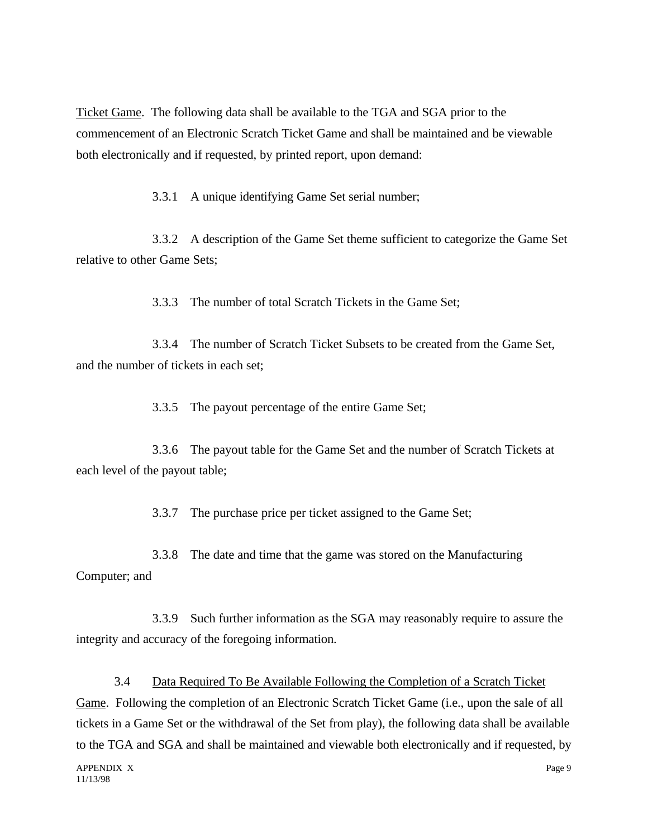Ticket Game. The following data shall be available to the TGA and SGA prior to the commencement of an Electronic Scratch Ticket Game and shall be maintained and be viewable both electronically and if requested, by printed report, upon demand:

3.3.1 A unique identifying Game Set serial number;

3.3.2 A description of the Game Set theme sufficient to categorize the Game Set relative to other Game Sets;

3.3.3 The number of total Scratch Tickets in the Game Set;

3.3.4 The number of Scratch Ticket Subsets to be created from the Game Set, and the number of tickets in each set;

3.3.5 The payout percentage of the entire Game Set;

3.3.6 The payout table for the Game Set and the number of Scratch Tickets at each level of the payout table;

3.3.7 The purchase price per ticket assigned to the Game Set;

3.3.8 The date and time that the game was stored on the Manufacturing Computer; and

3.3.9 Such further information as the SGA may reasonably require to assure the integrity and accuracy of the foregoing information.

3.4 Data Required To Be Available Following the Completion of a Scratch Ticket Game. Following the completion of an Electronic Scratch Ticket Game (i.e., upon the sale of all tickets in a Game Set or the withdrawal of the Set from play), the following data shall be available to the TGA and SGA and shall be maintained and viewable both electronically and if requested, by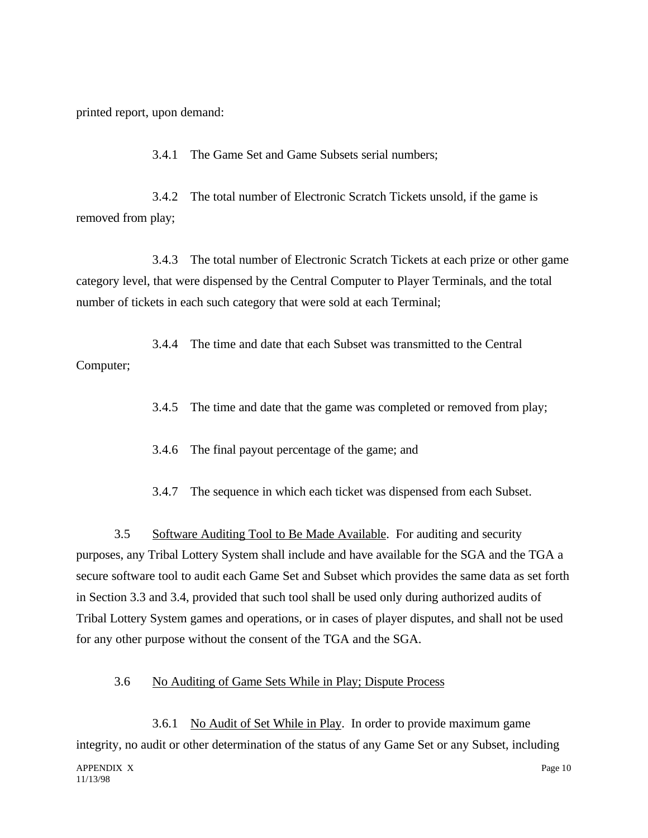printed report, upon demand:

3.4.1 The Game Set and Game Subsets serial numbers;

3.4.2 The total number of Electronic Scratch Tickets unsold, if the game is removed from play;

3.4.3 The total number of Electronic Scratch Tickets at each prize or other game category level, that were dispensed by the Central Computer to Player Terminals, and the total number of tickets in each such category that were sold at each Terminal;

3.4.4 The time and date that each Subset was transmitted to the Central Computer;

3.4.5 The time and date that the game was completed or removed from play;

3.4.6 The final payout percentage of the game; and

3.4.7 The sequence in which each ticket was dispensed from each Subset.

3.5 Software Auditing Tool to Be Made Available. For auditing and security purposes, any Tribal Lottery System shall include and have available for the SGA and the TGA a secure software tool to audit each Game Set and Subset which provides the same data as set forth in Section 3.3 and 3.4, provided that such tool shall be used only during authorized audits of Tribal Lottery System games and operations, or in cases of player disputes, and shall not be used for any other purpose without the consent of the TGA and the SGA.

#### 3.6 No Auditing of Game Sets While in Play; Dispute Process

3.6.1 No Audit of Set While in Play. In order to provide maximum game integrity, no audit or other determination of the status of any Game Set or any Subset, including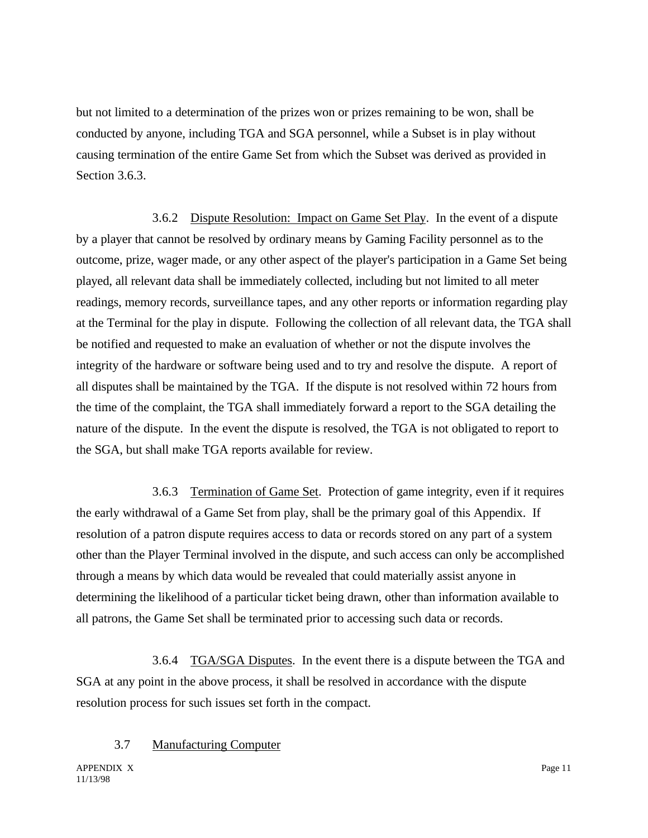but not limited to a determination of the prizes won or prizes remaining to be won, shall be conducted by anyone, including TGA and SGA personnel, while a Subset is in play without causing termination of the entire Game Set from which the Subset was derived as provided in Section 3.6.3.

3.6.2 Dispute Resolution: Impact on Game Set Play. In the event of a dispute by a player that cannot be resolved by ordinary means by Gaming Facility personnel as to the outcome, prize, wager made, or any other aspect of the player's participation in a Game Set being played, all relevant data shall be immediately collected, including but not limited to all meter readings, memory records, surveillance tapes, and any other reports or information regarding play at the Terminal for the play in dispute. Following the collection of all relevant data, the TGA shall be notified and requested to make an evaluation of whether or not the dispute involves the integrity of the hardware or software being used and to try and resolve the dispute. A report of all disputes shall be maintained by the TGA. If the dispute is not resolved within 72 hours from the time of the complaint, the TGA shall immediately forward a report to the SGA detailing the nature of the dispute. In the event the dispute is resolved, the TGA is not obligated to report to the SGA, but shall make TGA reports available for review.

3.6.3 Termination of Game Set. Protection of game integrity, even if it requires the early withdrawal of a Game Set from play, shall be the primary goal of this Appendix. If resolution of a patron dispute requires access to data or records stored on any part of a system other than the Player Terminal involved in the dispute, and such access can only be accomplished through a means by which data would be revealed that could materially assist anyone in determining the likelihood of a particular ticket being drawn, other than information available to all patrons, the Game Set shall be terminated prior to accessing such data or records.

3.6.4 TGA/SGA Disputes. In the event there is a dispute between the TGA and SGA at any point in the above process, it shall be resolved in accordance with the dispute resolution process for such issues set forth in the compact.

### 3.7 Manufacturing Computer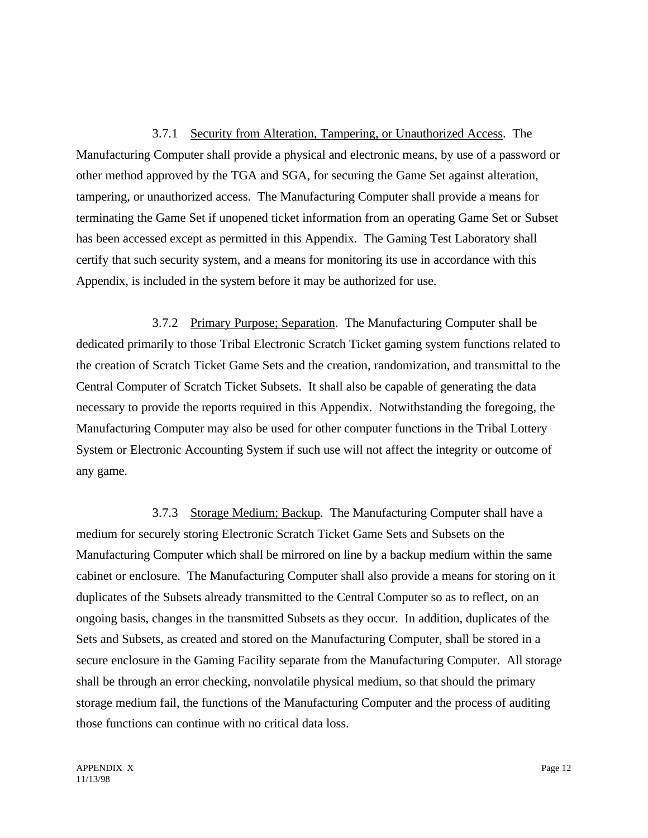3.7.1 Security from Alteration, Tampering, or Unauthorized Access. The Manufacturing Computer shall provide a physical and electronic means, by use of a password or other method approved by the TGA and SGA, for securing the Game Set against alteration, tampering, or unauthorized access. The Manufacturing Computer shall provide a means for terminating the Game Set if unopened ticket information from an operating Game Set or Subset has been accessed except as permitted in this Appendix. The Gaming Test Laboratory shall certify that such security system, and a means for monitoring its use in accordance with this Appendix, is included in the system before it may be authorized for use.

3.7.2 Primary Purpose; Separation. The Manufacturing Computer shall be dedicated primarily to those Tribal Electronic Scratch Ticket gaming system functions related to the creation of Scratch Ticket Game Sets and the creation, randomization, and transmittal to the Central Computer of Scratch Ticket Subsets. It shall also be capable of generating the data necessary to provide the reports required in this Appendix. Notwithstanding the foregoing, the Manufacturing Computer may also be used for other computer functions in the Tribal Lottery System or Electronic Accounting System if such use will not affect the integrity or outcome of any game.

3.7.3 Storage Medium; Backup. The Manufacturing Computer shall have a medium for securely storing Electronic Scratch Ticket Game Sets and Subsets on the Manufacturing Computer which shall be mirrored on line by a backup medium within the same cabinet or enclosure. The Manufacturing Computer shall also provide a means for storing on it duplicates of the Subsets already transmitted to the Central Computer so as to reflect, on an ongoing basis, changes in the transmitted Subsets as they occur. In addition, duplicates of the Sets and Subsets, as created and stored on the Manufacturing Computer, shall be stored in a secure enclosure in the Gaming Facility separate from the Manufacturing Computer. All storage shall be through an error checking, nonvolatile physical medium, so that should the primary storage medium fail, the functions of the Manufacturing Computer and the process of auditing those functions can continue with no critical data loss.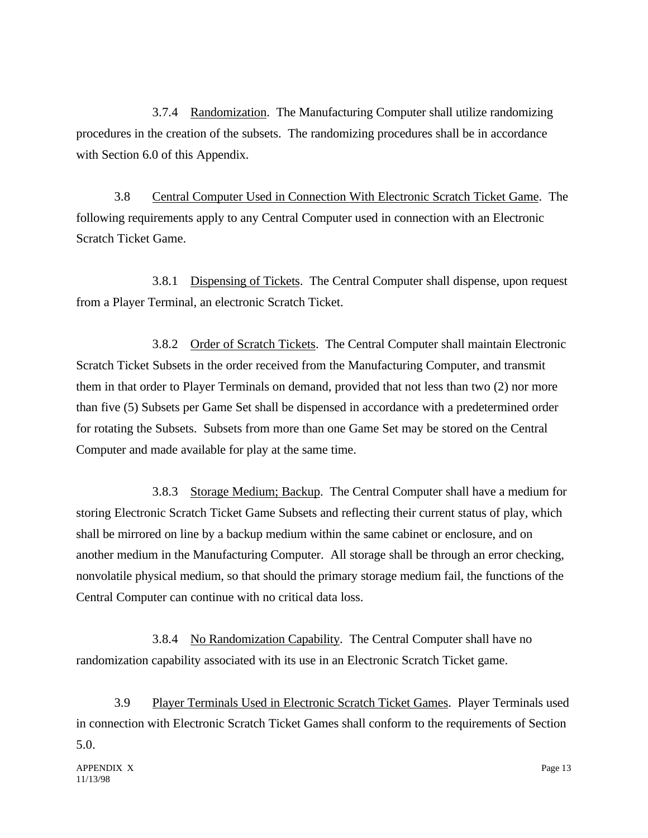3.7.4 Randomization. The Manufacturing Computer shall utilize randomizing procedures in the creation of the subsets. The randomizing procedures shall be in accordance with Section 6.0 of this Appendix.

3.8 Central Computer Used in Connection With Electronic Scratch Ticket Game. The following requirements apply to any Central Computer used in connection with an Electronic Scratch Ticket Game.

3.8.1 Dispensing of Tickets. The Central Computer shall dispense, upon request from a Player Terminal, an electronic Scratch Ticket.

3.8.2 Order of Scratch Tickets. The Central Computer shall maintain Electronic Scratch Ticket Subsets in the order received from the Manufacturing Computer, and transmit them in that order to Player Terminals on demand, provided that not less than two (2) nor more than five (5) Subsets per Game Set shall be dispensed in accordance with a predetermined order for rotating the Subsets. Subsets from more than one Game Set may be stored on the Central Computer and made available for play at the same time.

3.8.3 Storage Medium; Backup. The Central Computer shall have a medium for storing Electronic Scratch Ticket Game Subsets and reflecting their current status of play, which shall be mirrored on line by a backup medium within the same cabinet or enclosure, and on another medium in the Manufacturing Computer. All storage shall be through an error checking, nonvolatile physical medium, so that should the primary storage medium fail, the functions of the Central Computer can continue with no critical data loss.

3.8.4 No Randomization Capability. The Central Computer shall have no randomization capability associated with its use in an Electronic Scratch Ticket game.

3.9 Player Terminals Used in Electronic Scratch Ticket Games. Player Terminals used in connection with Electronic Scratch Ticket Games shall conform to the requirements of Section 5.0.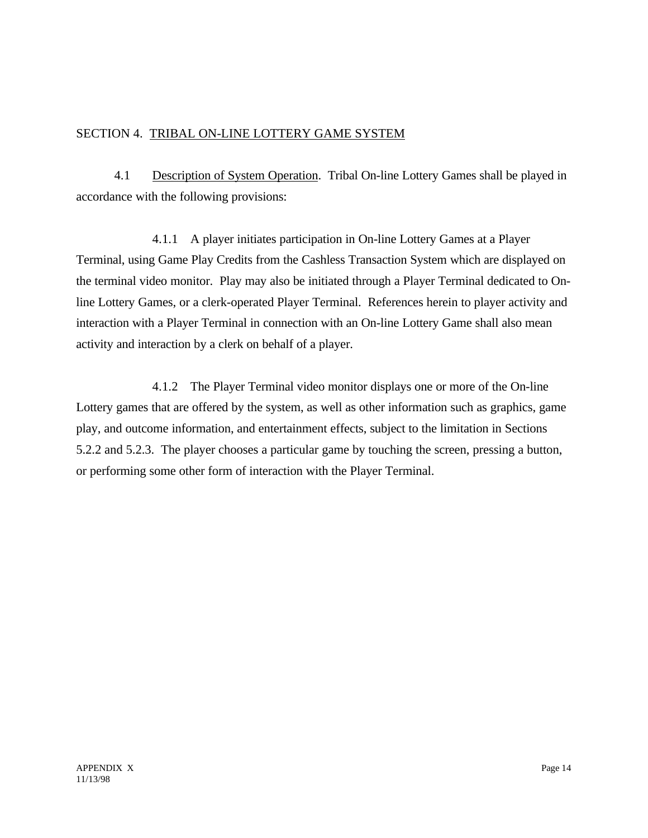## SECTION 4. TRIBAL ON-LINE LOTTERY GAME SYSTEM

4.1 Description of System Operation. Tribal On-line Lottery Games shall be played in accordance with the following provisions:

4.1.1 A player initiates participation in On-line Lottery Games at a Player Terminal, using Game Play Credits from the Cashless Transaction System which are displayed on the terminal video monitor. Play may also be initiated through a Player Terminal dedicated to Online Lottery Games, or a clerk-operated Player Terminal. References herein to player activity and interaction with a Player Terminal in connection with an On-line Lottery Game shall also mean activity and interaction by a clerk on behalf of a player.

4.1.2 The Player Terminal video monitor displays one or more of the On-line Lottery games that are offered by the system, as well as other information such as graphics, game play, and outcome information, and entertainment effects, subject to the limitation in Sections 5.2.2 and 5.2.3. The player chooses a particular game by touching the screen, pressing a button, or performing some other form of interaction with the Player Terminal.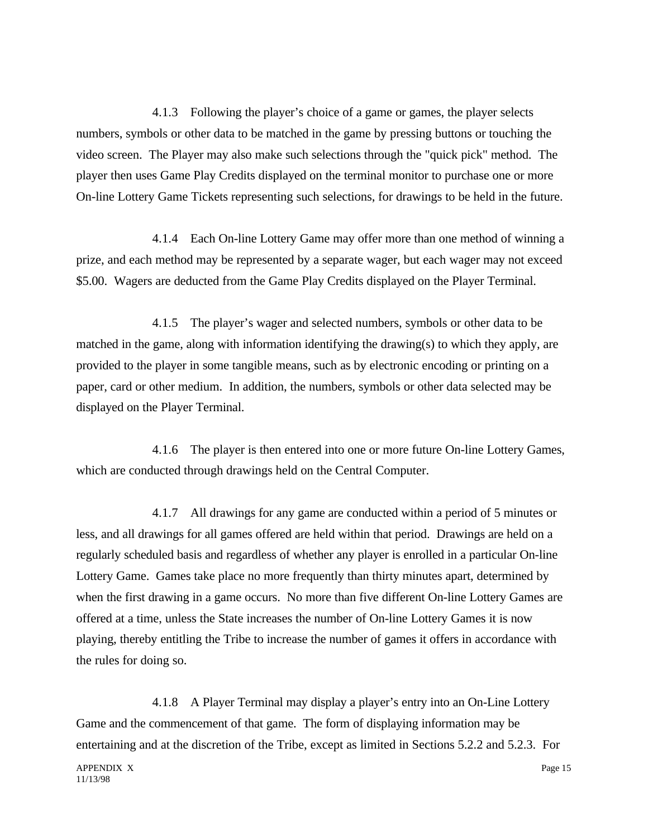4.1.3 Following the player's choice of a game or games, the player selects numbers, symbols or other data to be matched in the game by pressing buttons or touching the video screen. The Player may also make such selections through the "quick pick" method. The player then uses Game Play Credits displayed on the terminal monitor to purchase one or more On-line Lottery Game Tickets representing such selections, for drawings to be held in the future.

4.1.4 Each On-line Lottery Game may offer more than one method of winning a prize, and each method may be represented by a separate wager, but each wager may not exceed \$5.00. Wagers are deducted from the Game Play Credits displayed on the Player Terminal.

4.1.5 The player's wager and selected numbers, symbols or other data to be matched in the game, along with information identifying the drawing(s) to which they apply, are provided to the player in some tangible means, such as by electronic encoding or printing on a paper, card or other medium. In addition, the numbers, symbols or other data selected may be displayed on the Player Terminal.

4.1.6 The player is then entered into one or more future On-line Lottery Games, which are conducted through drawings held on the Central Computer.

4.1.7 All drawings for any game are conducted within a period of 5 minutes or less, and all drawings for all games offered are held within that period. Drawings are held on a regularly scheduled basis and regardless of whether any player is enrolled in a particular On-line Lottery Game. Games take place no more frequently than thirty minutes apart, determined by when the first drawing in a game occurs. No more than five different On-line Lottery Games are offered at a time, unless the State increases the number of On-line Lottery Games it is now playing, thereby entitling the Tribe to increase the number of games it offers in accordance with the rules for doing so.

4.1.8 A Player Terminal may display a player's entry into an On-Line Lottery Game and the commencement of that game. The form of displaying information may be entertaining and at the discretion of the Tribe, except as limited in Sections 5.2.2 and 5.2.3. For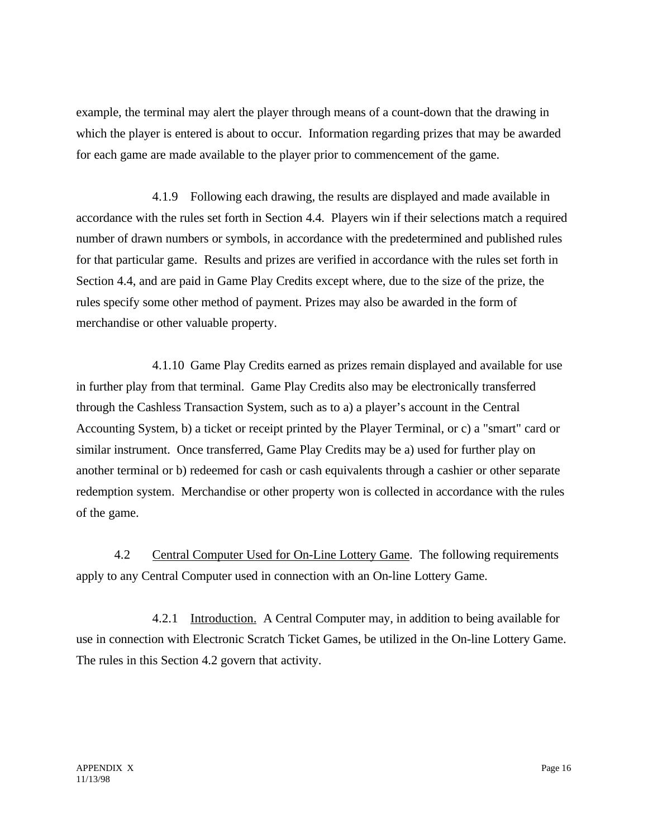example, the terminal may alert the player through means of a count-down that the drawing in which the player is entered is about to occur. Information regarding prizes that may be awarded for each game are made available to the player prior to commencement of the game.

4.1.9 Following each drawing, the results are displayed and made available in accordance with the rules set forth in Section 4.4. Players win if their selections match a required number of drawn numbers or symbols, in accordance with the predetermined and published rules for that particular game. Results and prizes are verified in accordance with the rules set forth in Section 4.4, and are paid in Game Play Credits except where, due to the size of the prize, the rules specify some other method of payment. Prizes may also be awarded in the form of merchandise or other valuable property.

4.1.10 Game Play Credits earned as prizes remain displayed and available for use in further play from that terminal. Game Play Credits also may be electronically transferred through the Cashless Transaction System, such as to a) a player's account in the Central Accounting System, b) a ticket or receipt printed by the Player Terminal, or c) a "smart" card or similar instrument. Once transferred, Game Play Credits may be a) used for further play on another terminal or b) redeemed for cash or cash equivalents through a cashier or other separate redemption system. Merchandise or other property won is collected in accordance with the rules of the game.

4.2 Central Computer Used for On-Line Lottery Game. The following requirements apply to any Central Computer used in connection with an On-line Lottery Game.

4.2.1 Introduction. A Central Computer may, in addition to being available for use in connection with Electronic Scratch Ticket Games, be utilized in the On-line Lottery Game. The rules in this Section 4.2 govern that activity.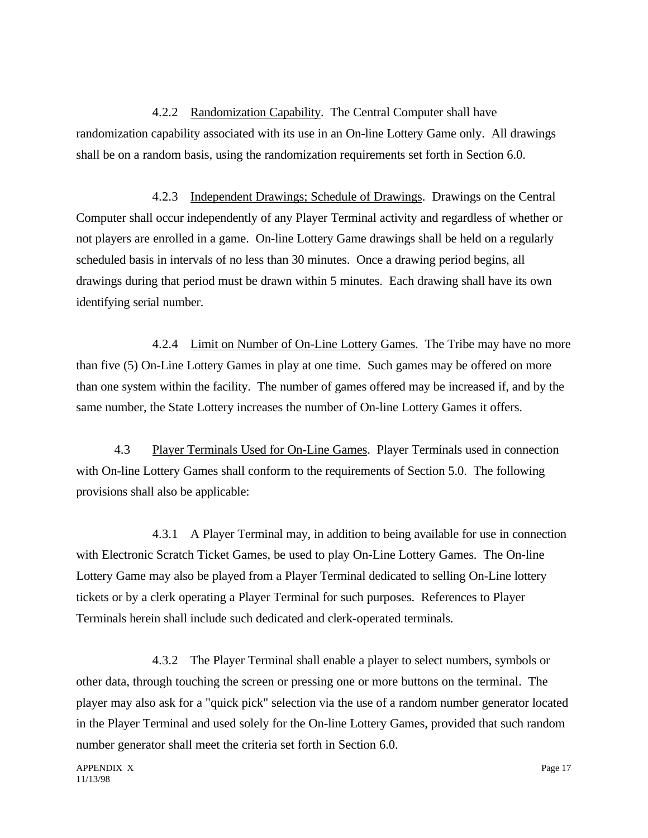4.2.2 Randomization Capability. The Central Computer shall have randomization capability associated with its use in an On-line Lottery Game only. All drawings shall be on a random basis, using the randomization requirements set forth in Section 6.0.

4.2.3 Independent Drawings; Schedule of Drawings. Drawings on the Central Computer shall occur independently of any Player Terminal activity and regardless of whether or not players are enrolled in a game. On-line Lottery Game drawings shall be held on a regularly scheduled basis in intervals of no less than 30 minutes. Once a drawing period begins, all drawings during that period must be drawn within 5 minutes. Each drawing shall have its own identifying serial number.

4.2.4 Limit on Number of On-Line Lottery Games. The Tribe may have no more than five (5) On-Line Lottery Games in play at one time. Such games may be offered on more than one system within the facility. The number of games offered may be increased if, and by the same number, the State Lottery increases the number of On-line Lottery Games it offers.

4.3 Player Terminals Used for On-Line Games. Player Terminals used in connection with On-line Lottery Games shall conform to the requirements of Section 5.0. The following provisions shall also be applicable:

4.3.1 A Player Terminal may, in addition to being available for use in connection with Electronic Scratch Ticket Games, be used to play On-Line Lottery Games. The On-line Lottery Game may also be played from a Player Terminal dedicated to selling On-Line lottery tickets or by a clerk operating a Player Terminal for such purposes. References to Player Terminals herein shall include such dedicated and clerk-operated terminals.

4.3.2 The Player Terminal shall enable a player to select numbers, symbols or other data, through touching the screen or pressing one or more buttons on the terminal. The player may also ask for a "quick pick" selection via the use of a random number generator located in the Player Terminal and used solely for the On-line Lottery Games, provided that such random number generator shall meet the criteria set forth in Section 6.0.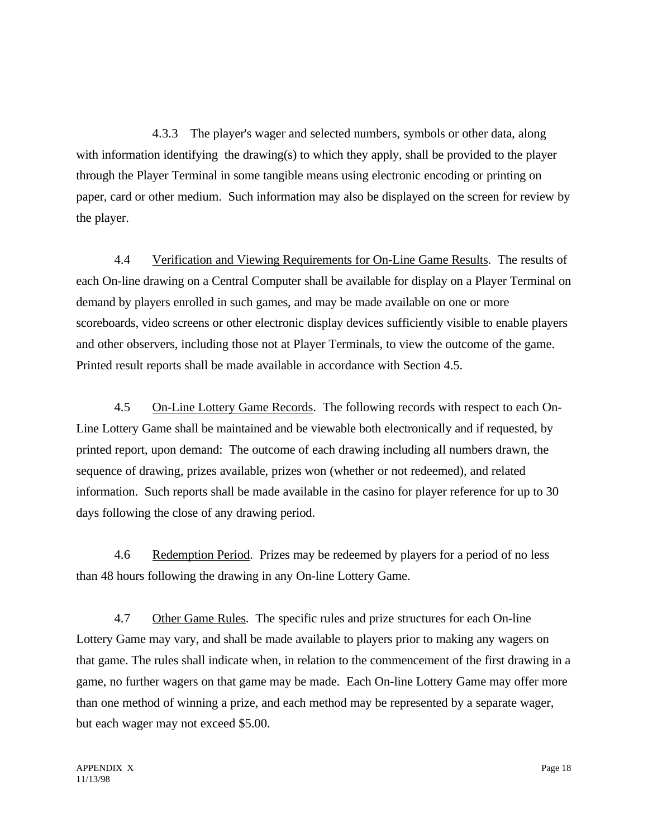4.3.3 The player's wager and selected numbers, symbols or other data, along with information identifying the drawing(s) to which they apply, shall be provided to the player through the Player Terminal in some tangible means using electronic encoding or printing on paper, card or other medium. Such information may also be displayed on the screen for review by the player.

4.4 Verification and Viewing Requirements for On-Line Game Results. The results of each On-line drawing on a Central Computer shall be available for display on a Player Terminal on demand by players enrolled in such games, and may be made available on one or more scoreboards, video screens or other electronic display devices sufficiently visible to enable players and other observers, including those not at Player Terminals, to view the outcome of the game. Printed result reports shall be made available in accordance with Section 4.5.

4.5 On-Line Lottery Game Records. The following records with respect to each On-Line Lottery Game shall be maintained and be viewable both electronically and if requested, by printed report, upon demand: The outcome of each drawing including all numbers drawn, the sequence of drawing, prizes available, prizes won (whether or not redeemed), and related information. Such reports shall be made available in the casino for player reference for up to 30 days following the close of any drawing period.

4.6 Redemption Period. Prizes may be redeemed by players for a period of no less than 48 hours following the drawing in any On-line Lottery Game.

4.7 Other Game Rules. The specific rules and prize structures for each On-line Lottery Game may vary, and shall be made available to players prior to making any wagers on that game. The rules shall indicate when, in relation to the commencement of the first drawing in a game, no further wagers on that game may be made. Each On-line Lottery Game may offer more than one method of winning a prize, and each method may be represented by a separate wager, but each wager may not exceed \$5.00.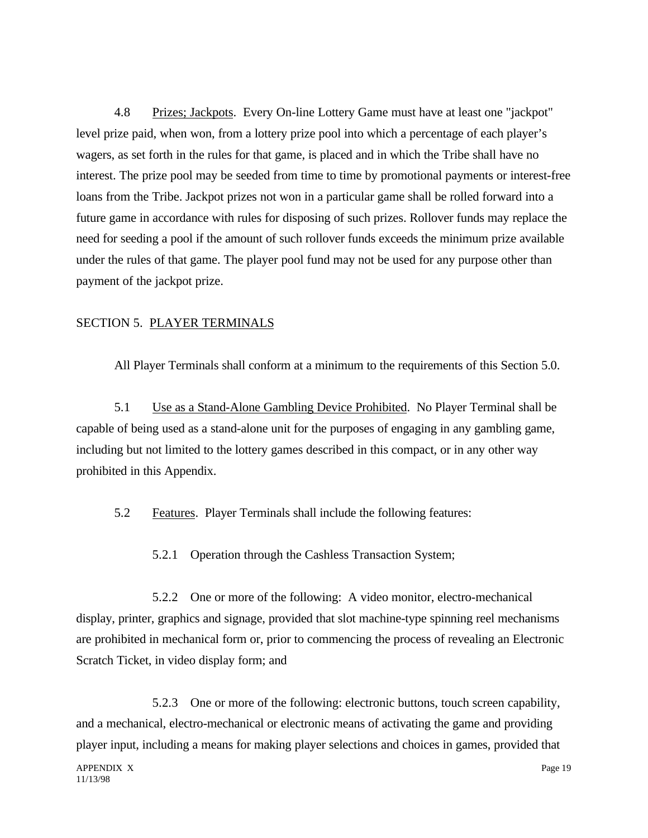4.8 Prizes; Jackpots. Every On-line Lottery Game must have at least one "jackpot" level prize paid, when won, from a lottery prize pool into which a percentage of each player's wagers, as set forth in the rules for that game, is placed and in which the Tribe shall have no interest. The prize pool may be seeded from time to time by promotional payments or interest-free loans from the Tribe. Jackpot prizes not won in a particular game shall be rolled forward into a future game in accordance with rules for disposing of such prizes. Rollover funds may replace the need for seeding a pool if the amount of such rollover funds exceeds the minimum prize available under the rules of that game. The player pool fund may not be used for any purpose other than payment of the jackpot prize.

#### SECTION 5. PLAYER TERMINALS

All Player Terminals shall conform at a minimum to the requirements of this Section 5.0.

5.1 Use as a Stand-Alone Gambling Device Prohibited. No Player Terminal shall be capable of being used as a stand-alone unit for the purposes of engaging in any gambling game, including but not limited to the lottery games described in this compact, or in any other way prohibited in this Appendix.

5.2 Features. Player Terminals shall include the following features:

5.2.1 Operation through the Cashless Transaction System;

5.2.2 One or more of the following: A video monitor, electro-mechanical display, printer, graphics and signage, provided that slot machine-type spinning reel mechanisms are prohibited in mechanical form or, prior to commencing the process of revealing an Electronic Scratch Ticket, in video display form; and

5.2.3 One or more of the following: electronic buttons, touch screen capability, and a mechanical, electro-mechanical or electronic means of activating the game and providing player input, including a means for making player selections and choices in games, provided that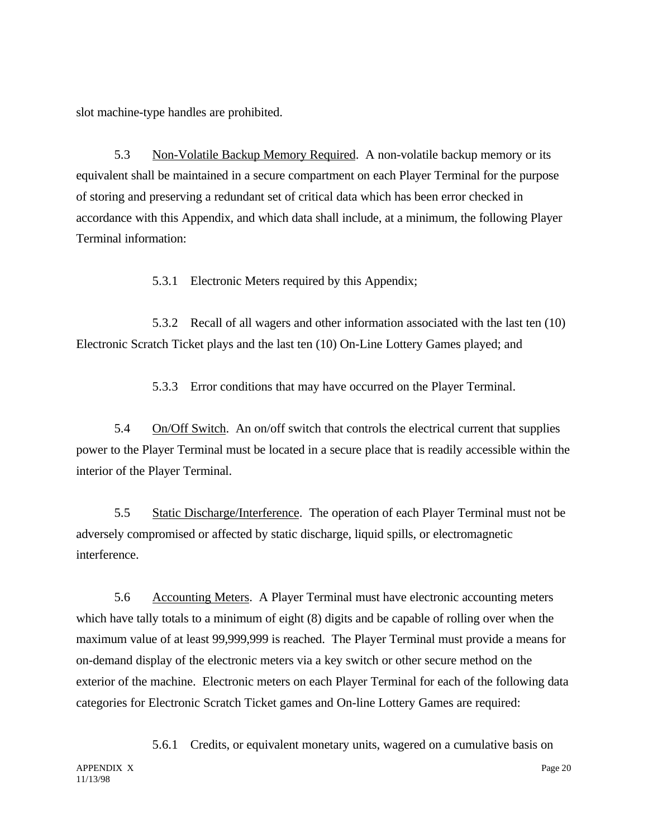slot machine-type handles are prohibited.

5.3 Non-Volatile Backup Memory Required. A non-volatile backup memory or its equivalent shall be maintained in a secure compartment on each Player Terminal for the purpose of storing and preserving a redundant set of critical data which has been error checked in accordance with this Appendix, and which data shall include, at a minimum, the following Player Terminal information:

5.3.1 Electronic Meters required by this Appendix;

5.3.2 Recall of all wagers and other information associated with the last ten (10) Electronic Scratch Ticket plays and the last ten (10) On-Line Lottery Games played; and

5.3.3 Error conditions that may have occurred on the Player Terminal.

5.4 On/Off Switch. An on/off switch that controls the electrical current that supplies power to the Player Terminal must be located in a secure place that is readily accessible within the interior of the Player Terminal.

5.5 Static Discharge/Interference. The operation of each Player Terminal must not be adversely compromised or affected by static discharge, liquid spills, or electromagnetic interference.

5.6 Accounting Meters. A Player Terminal must have electronic accounting meters which have tally totals to a minimum of eight (8) digits and be capable of rolling over when the maximum value of at least 99,999,999 is reached. The Player Terminal must provide a means for on-demand display of the electronic meters via a key switch or other secure method on the exterior of the machine. Electronic meters on each Player Terminal for each of the following data categories for Electronic Scratch Ticket games and On-line Lottery Games are required:

5.6.1 Credits, or equivalent monetary units, wagered on a cumulative basis on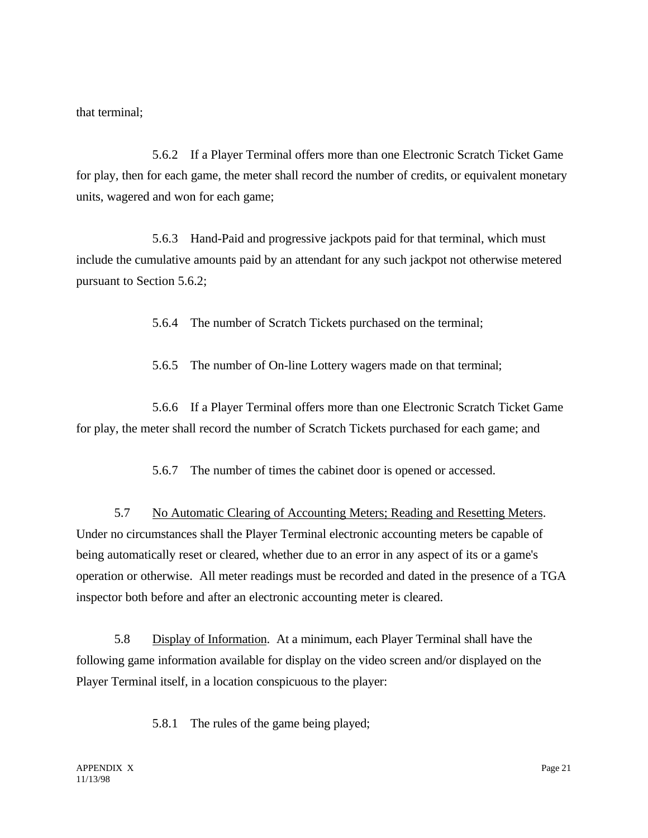that terminal;

5.6.2 If a Player Terminal offers more than one Electronic Scratch Ticket Game for play, then for each game, the meter shall record the number of credits, or equivalent monetary units, wagered and won for each game;

5.6.3 Hand-Paid and progressive jackpots paid for that terminal, which must include the cumulative amounts paid by an attendant for any such jackpot not otherwise metered pursuant to Section 5.6.2;

5.6.4 The number of Scratch Tickets purchased on the terminal;

5.6.5 The number of On-line Lottery wagers made on that terminal;

5.6.6 If a Player Terminal offers more than one Electronic Scratch Ticket Game for play, the meter shall record the number of Scratch Tickets purchased for each game; and

5.6.7 The number of times the cabinet door is opened or accessed.

5.7 No Automatic Clearing of Accounting Meters; Reading and Resetting Meters. Under no circumstances shall the Player Terminal electronic accounting meters be capable of being automatically reset or cleared, whether due to an error in any aspect of its or a game's operation or otherwise. All meter readings must be recorded and dated in the presence of a TGA inspector both before and after an electronic accounting meter is cleared.

5.8 Display of Information. At a minimum, each Player Terminal shall have the following game information available for display on the video screen and/or displayed on the Player Terminal itself, in a location conspicuous to the player:

5.8.1 The rules of the game being played;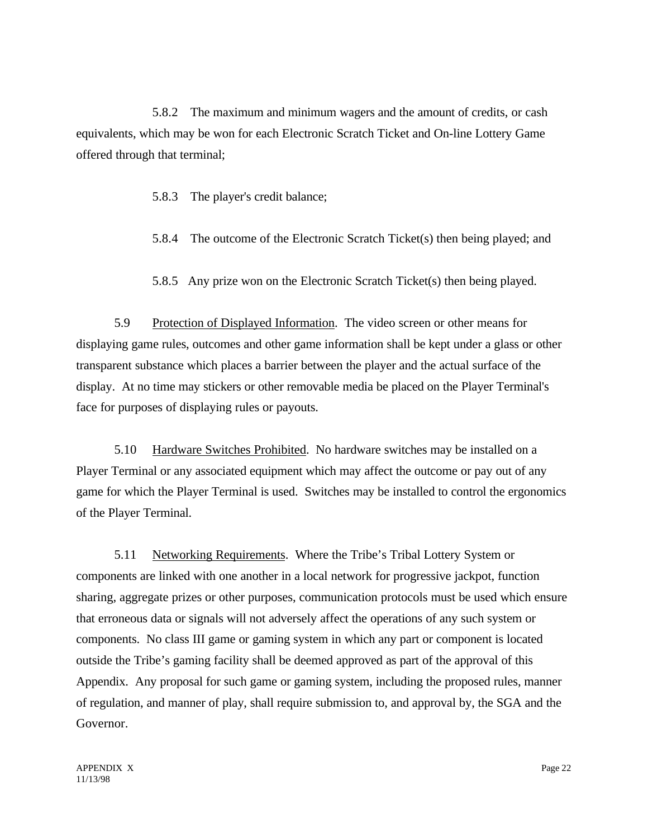5.8.2 The maximum and minimum wagers and the amount of credits, or cash equivalents, which may be won for each Electronic Scratch Ticket and On-line Lottery Game offered through that terminal;

5.8.3 The player's credit balance;

5.8.4 The outcome of the Electronic Scratch Ticket(s) then being played; and

5.8.5 Any prize won on the Electronic Scratch Ticket(s) then being played.

5.9 Protection of Displayed Information. The video screen or other means for displaying game rules, outcomes and other game information shall be kept under a glass or other transparent substance which places a barrier between the player and the actual surface of the display. At no time may stickers or other removable media be placed on the Player Terminal's face for purposes of displaying rules or payouts.

5.10 Hardware Switches Prohibited. No hardware switches may be installed on a Player Terminal or any associated equipment which may affect the outcome or pay out of any game for which the Player Terminal is used. Switches may be installed to control the ergonomics of the Player Terminal.

5.11 Networking Requirements. Where the Tribe's Tribal Lottery System or components are linked with one another in a local network for progressive jackpot, function sharing, aggregate prizes or other purposes, communication protocols must be used which ensure that erroneous data or signals will not adversely affect the operations of any such system or components. No class III game or gaming system in which any part or component is located outside the Tribe's gaming facility shall be deemed approved as part of the approval of this Appendix. Any proposal for such game or gaming system, including the proposed rules, manner of regulation, and manner of play, shall require submission to, and approval by, the SGA and the Governor.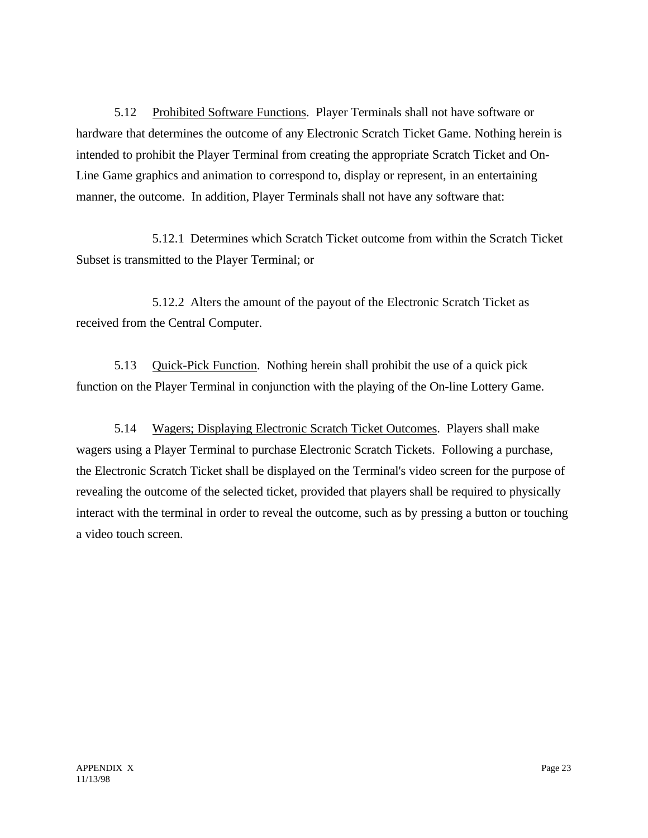5.12 Prohibited Software Functions. Player Terminals shall not have software or hardware that determines the outcome of any Electronic Scratch Ticket Game. Nothing herein is intended to prohibit the Player Terminal from creating the appropriate Scratch Ticket and On-Line Game graphics and animation to correspond to, display or represent, in an entertaining manner, the outcome. In addition, Player Terminals shall not have any software that:

5.12.1 Determines which Scratch Ticket outcome from within the Scratch Ticket Subset is transmitted to the Player Terminal; or

5.12.2 Alters the amount of the payout of the Electronic Scratch Ticket as received from the Central Computer.

5.13 Quick-Pick Function. Nothing herein shall prohibit the use of a quick pick function on the Player Terminal in conjunction with the playing of the On-line Lottery Game.

5.14 Wagers; Displaying Electronic Scratch Ticket Outcomes. Players shall make wagers using a Player Terminal to purchase Electronic Scratch Tickets. Following a purchase, the Electronic Scratch Ticket shall be displayed on the Terminal's video screen for the purpose of revealing the outcome of the selected ticket, provided that players shall be required to physically interact with the terminal in order to reveal the outcome, such as by pressing a button or touching a video touch screen.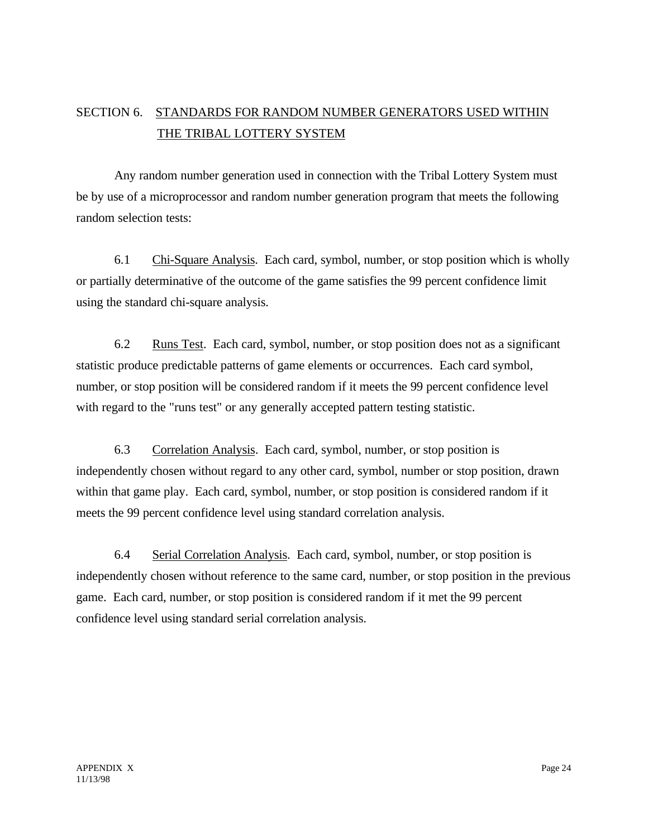# SECTION 6. STANDARDS FOR RANDOM NUMBER GENERATORS USED WITHIN THE TRIBAL LOTTERY SYSTEM

Any random number generation used in connection with the Tribal Lottery System must be by use of a microprocessor and random number generation program that meets the following random selection tests:

6.1 Chi-Square Analysis. Each card, symbol, number, or stop position which is wholly or partially determinative of the outcome of the game satisfies the 99 percent confidence limit using the standard chi-square analysis.

6.2 Runs Test. Each card, symbol, number, or stop position does not as a significant statistic produce predictable patterns of game elements or occurrences. Each card symbol, number, or stop position will be considered random if it meets the 99 percent confidence level with regard to the "runs test" or any generally accepted pattern testing statistic.

6.3 Correlation Analysis. Each card, symbol, number, or stop position is independently chosen without regard to any other card, symbol, number or stop position, drawn within that game play. Each card, symbol, number, or stop position is considered random if it meets the 99 percent confidence level using standard correlation analysis.

6.4 Serial Correlation Analysis. Each card, symbol, number, or stop position is independently chosen without reference to the same card, number, or stop position in the previous game. Each card, number, or stop position is considered random if it met the 99 percent confidence level using standard serial correlation analysis.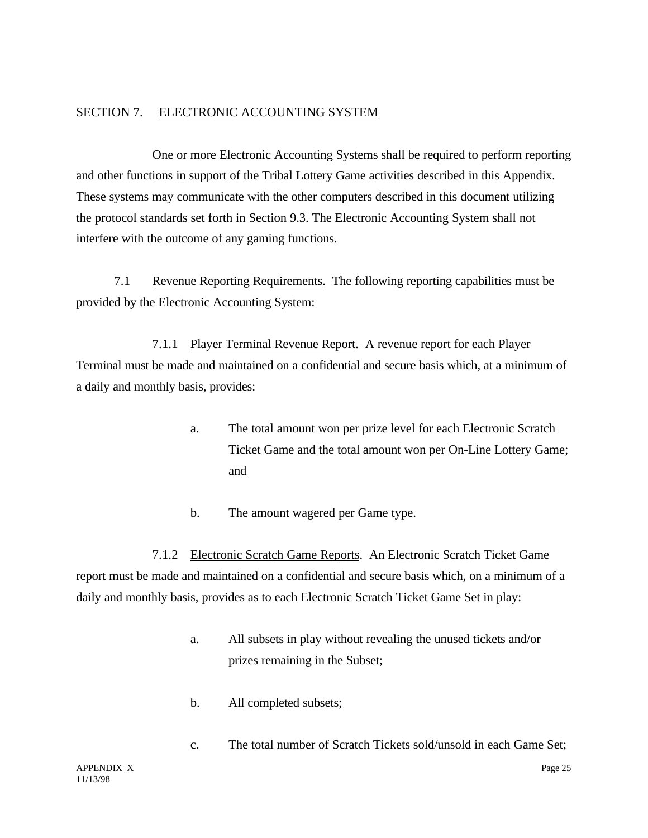### SECTION 7. ELECTRONIC ACCOUNTING SYSTEM

One or more Electronic Accounting Systems shall be required to perform reporting and other functions in support of the Tribal Lottery Game activities described in this Appendix. These systems may communicate with the other computers described in this document utilizing the protocol standards set forth in Section 9.3. The Electronic Accounting System shall not interfere with the outcome of any gaming functions.

7.1 Revenue Reporting Requirements. The following reporting capabilities must be provided by the Electronic Accounting System:

7.1.1 Player Terminal Revenue Report. A revenue report for each Player Terminal must be made and maintained on a confidential and secure basis which, at a minimum of a daily and monthly basis, provides:

- a. The total amount won per prize level for each Electronic Scratch Ticket Game and the total amount won per On-Line Lottery Game; and
- b. The amount wagered per Game type.

7.1.2 Electronic Scratch Game Reports. An Electronic Scratch Ticket Game report must be made and maintained on a confidential and secure basis which, on a minimum of a daily and monthly basis, provides as to each Electronic Scratch Ticket Game Set in play:

- a. All subsets in play without revealing the unused tickets and/or prizes remaining in the Subset;
- b. All completed subsets;
- c. The total number of Scratch Tickets sold/unsold in each Game Set;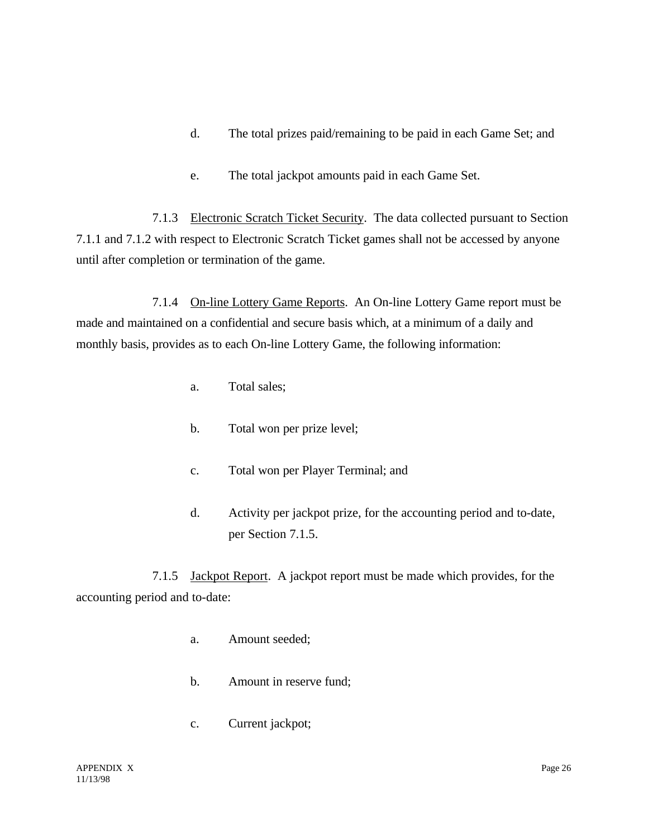- d. The total prizes paid/remaining to be paid in each Game Set; and
- e. The total jackpot amounts paid in each Game Set.

7.1.3 Electronic Scratch Ticket Security. The data collected pursuant to Section 7.1.1 and 7.1.2 with respect to Electronic Scratch Ticket games shall not be accessed by anyone until after completion or termination of the game.

7.1.4 On-line Lottery Game Reports. An On-line Lottery Game report must be made and maintained on a confidential and secure basis which, at a minimum of a daily and monthly basis, provides as to each On-line Lottery Game, the following information:

- a. Total sales;
- b. Total won per prize level;
- c. Total won per Player Terminal; and
- d. Activity per jackpot prize, for the accounting period and to-date, per Section 7.1.5.

7.1.5 Jackpot Report. A jackpot report must be made which provides, for the accounting period and to-date:

- a. Amount seeded;
- b. Amount in reserve fund;
- c. Current jackpot;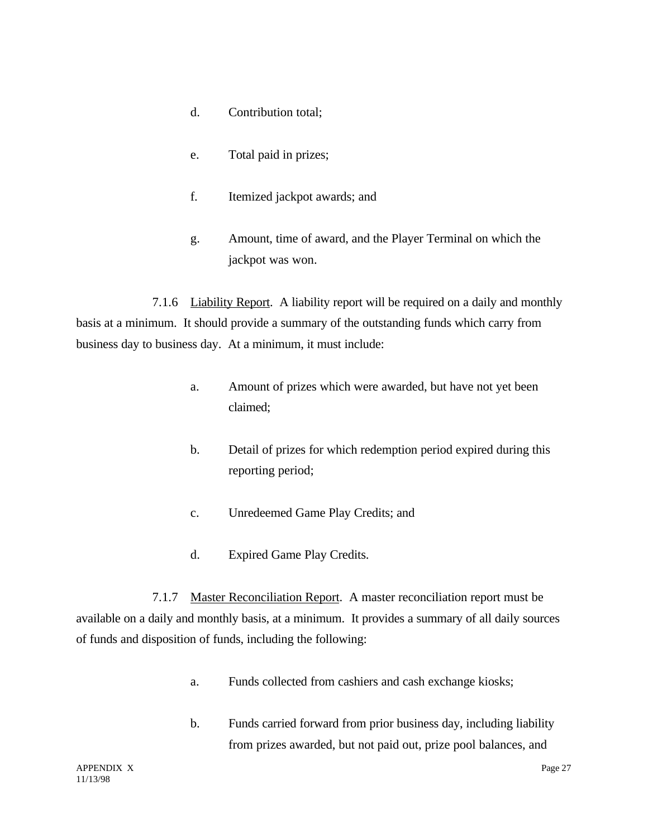- d. Contribution total;
- e. Total paid in prizes;
- f. Itemized jackpot awards; and
- g. Amount, time of award, and the Player Terminal on which the jackpot was won.

7.1.6 Liability Report. A liability report will be required on a daily and monthly basis at a minimum. It should provide a summary of the outstanding funds which carry from business day to business day. At a minimum, it must include:

- a. Amount of prizes which were awarded, but have not yet been claimed;
- b. Detail of prizes for which redemption period expired during this reporting period;
- c. Unredeemed Game Play Credits; and
- d. Expired Game Play Credits.

7.1.7 Master Reconciliation Report. A master reconciliation report must be available on a daily and monthly basis, at a minimum. It provides a summary of all daily sources of funds and disposition of funds, including the following:

- a. Funds collected from cashiers and cash exchange kiosks;
- b. Funds carried forward from prior business day, including liability from prizes awarded, but not paid out, prize pool balances, and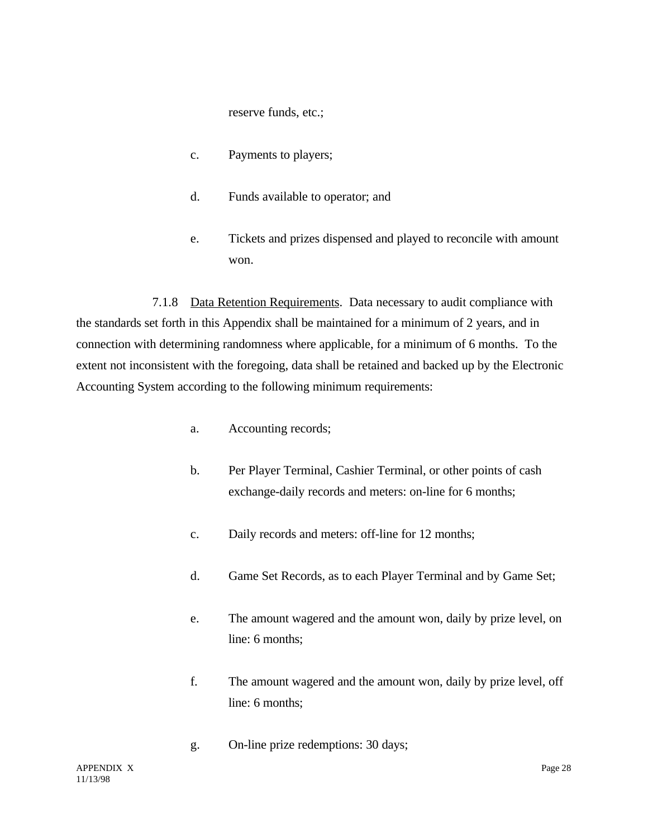reserve funds, etc.;

- c. Payments to players;
- d. Funds available to operator; and
- e. Tickets and prizes dispensed and played to reconcile with amount won.

7.1.8 Data Retention Requirements. Data necessary to audit compliance with the standards set forth in this Appendix shall be maintained for a minimum of 2 years, and in connection with determining randomness where applicable, for a minimum of 6 months. To the extent not inconsistent with the foregoing, data shall be retained and backed up by the Electronic Accounting System according to the following minimum requirements:

- a. Accounting records;
- b. Per Player Terminal, Cashier Terminal, or other points of cash exchange-daily records and meters: on-line for 6 months;
- c. Daily records and meters: off-line for 12 months;
- d. Game Set Records, as to each Player Terminal and by Game Set;
- e. The amount wagered and the amount won, daily by prize level, on line: 6 months;
- f. The amount wagered and the amount won, daily by prize level, off line: 6 months;
- g. On-line prize redemptions: 30 days;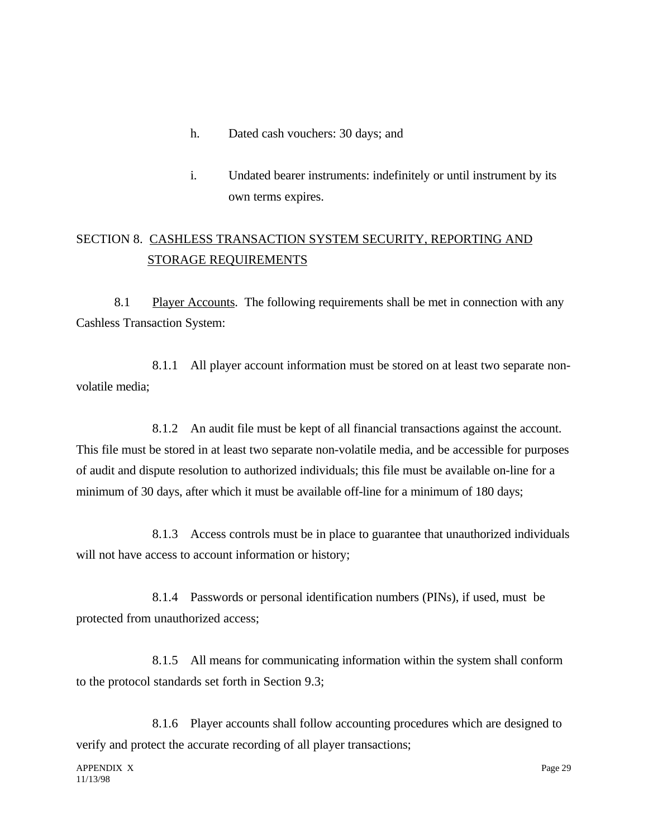- h. Dated cash vouchers: 30 days; and
- i. Undated bearer instruments: indefinitely or until instrument by its own terms expires.

# SECTION 8. CASHLESS TRANSACTION SYSTEM SECURITY, REPORTING AND STORAGE REQUIREMENTS

8.1 Player Accounts. The following requirements shall be met in connection with any Cashless Transaction System:

8.1.1 All player account information must be stored on at least two separate nonvolatile media;

8.1.2 An audit file must be kept of all financial transactions against the account. This file must be stored in at least two separate non-volatile media, and be accessible for purposes of audit and dispute resolution to authorized individuals; this file must be available on-line for a minimum of 30 days, after which it must be available off-line for a minimum of 180 days;

8.1.3 Access controls must be in place to guarantee that unauthorized individuals will not have access to account information or history;

8.1.4 Passwords or personal identification numbers (PINs), if used, must be protected from unauthorized access;

8.1.5 All means for communicating information within the system shall conform to the protocol standards set forth in Section 9.3;

8.1.6 Player accounts shall follow accounting procedures which are designed to verify and protect the accurate recording of all player transactions;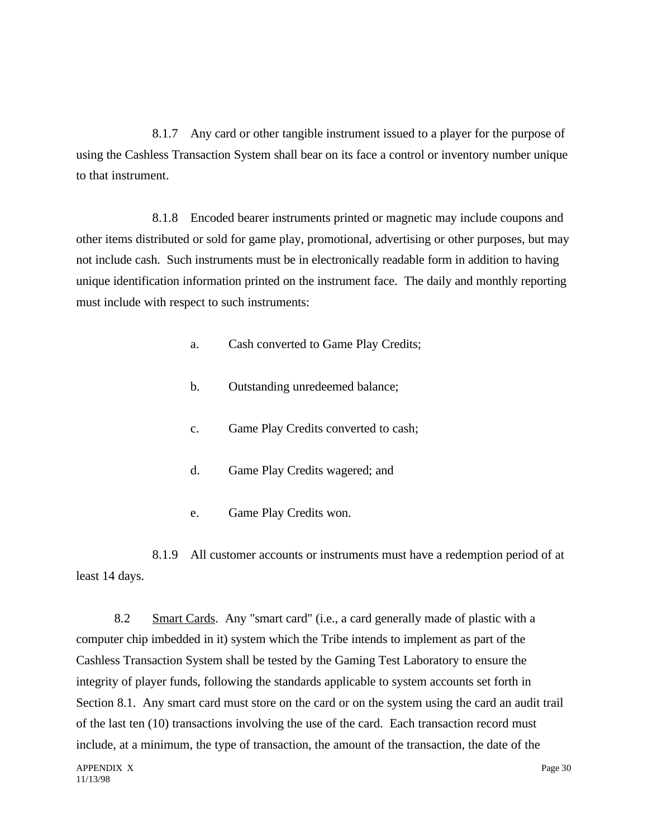8.1.7 Any card or other tangible instrument issued to a player for the purpose of using the Cashless Transaction System shall bear on its face a control or inventory number unique to that instrument.

8.1.8 Encoded bearer instruments printed or magnetic may include coupons and other items distributed or sold for game play, promotional, advertising or other purposes, but may not include cash. Such instruments must be in electronically readable form in addition to having unique identification information printed on the instrument face. The daily and monthly reporting must include with respect to such instruments:

- a. Cash converted to Game Play Credits;
- b. Outstanding unredeemed balance;
- c. Game Play Credits converted to cash;
- d. Game Play Credits wagered; and
- e. Game Play Credits won.

8.1.9 All customer accounts or instruments must have a redemption period of at least 14 days.

8.2 Smart Cards. Any "smart card" (i.e., a card generally made of plastic with a computer chip imbedded in it) system which the Tribe intends to implement as part of the Cashless Transaction System shall be tested by the Gaming Test Laboratory to ensure the integrity of player funds, following the standards applicable to system accounts set forth in Section 8.1. Any smart card must store on the card or on the system using the card an audit trail of the last ten (10) transactions involving the use of the card. Each transaction record must include, at a minimum, the type of transaction, the amount of the transaction, the date of the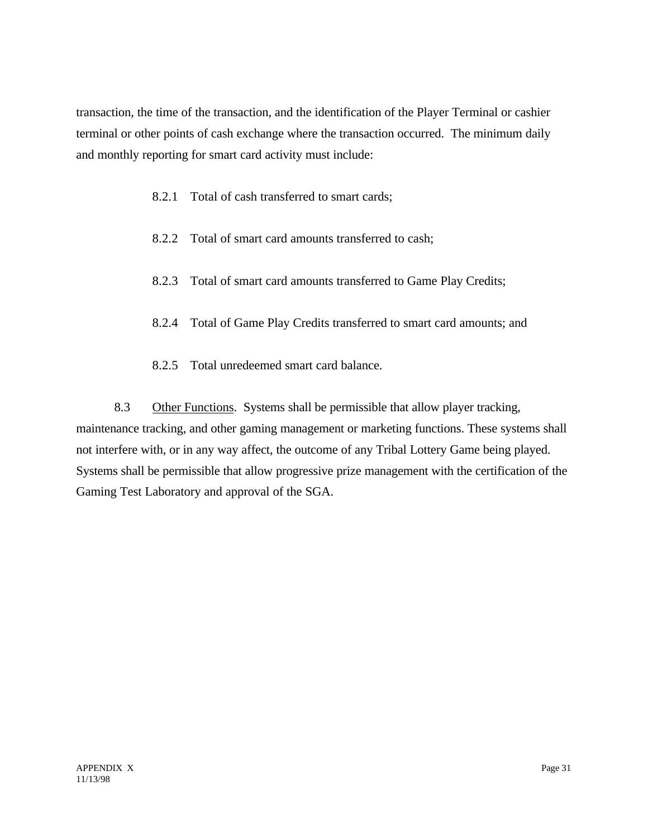transaction, the time of the transaction, and the identification of the Player Terminal or cashier terminal or other points of cash exchange where the transaction occurred. The minimum daily and monthly reporting for smart card activity must include:

- 8.2.1 Total of cash transferred to smart cards;
- 8.2.2 Total of smart card amounts transferred to cash;
- 8.2.3 Total of smart card amounts transferred to Game Play Credits;
- 8.2.4 Total of Game Play Credits transferred to smart card amounts; and
- 8.2.5 Total unredeemed smart card balance.

8.3 Other Functions. Systems shall be permissible that allow player tracking, maintenance tracking, and other gaming management or marketing functions. These systems shall not interfere with, or in any way affect, the outcome of any Tribal Lottery Game being played. Systems shall be permissible that allow progressive prize management with the certification of the Gaming Test Laboratory and approval of the SGA.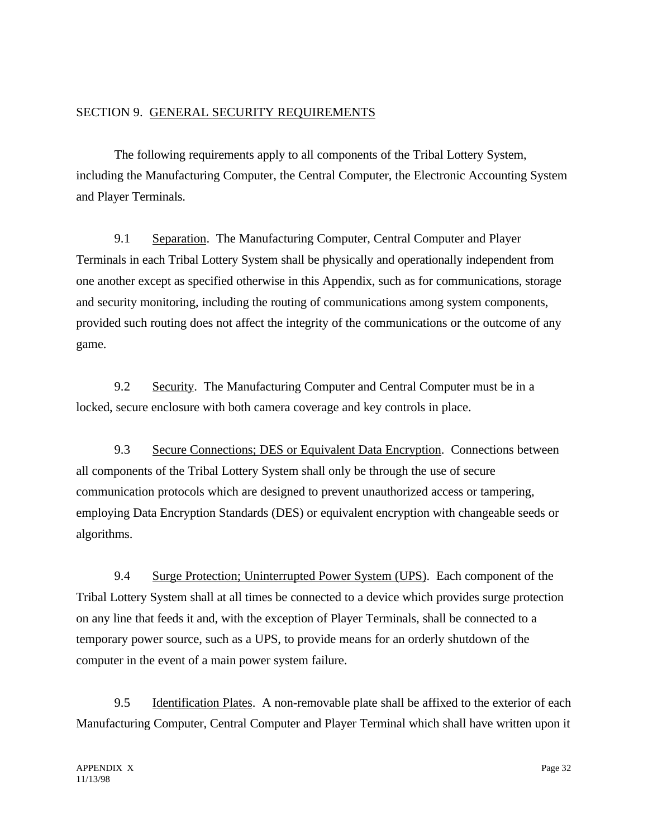#### SECTION 9. GENERAL SECURITY REQUIREMENTS

The following requirements apply to all components of the Tribal Lottery System, including the Manufacturing Computer, the Central Computer, the Electronic Accounting System and Player Terminals.

9.1 Separation. The Manufacturing Computer, Central Computer and Player Terminals in each Tribal Lottery System shall be physically and operationally independent from one another except as specified otherwise in this Appendix, such as for communications, storage and security monitoring, including the routing of communications among system components, provided such routing does not affect the integrity of the communications or the outcome of any game.

9.2 Security. The Manufacturing Computer and Central Computer must be in a locked, secure enclosure with both camera coverage and key controls in place.

9.3 Secure Connections; DES or Equivalent Data Encryption. Connections between all components of the Tribal Lottery System shall only be through the use of secure communication protocols which are designed to prevent unauthorized access or tampering, employing Data Encryption Standards (DES) or equivalent encryption with changeable seeds or algorithms.

9.4 Surge Protection; Uninterrupted Power System (UPS). Each component of the Tribal Lottery System shall at all times be connected to a device which provides surge protection on any line that feeds it and, with the exception of Player Terminals, shall be connected to a temporary power source, such as a UPS, to provide means for an orderly shutdown of the computer in the event of a main power system failure.

9.5 Identification Plates. A non-removable plate shall be affixed to the exterior of each Manufacturing Computer, Central Computer and Player Terminal which shall have written upon it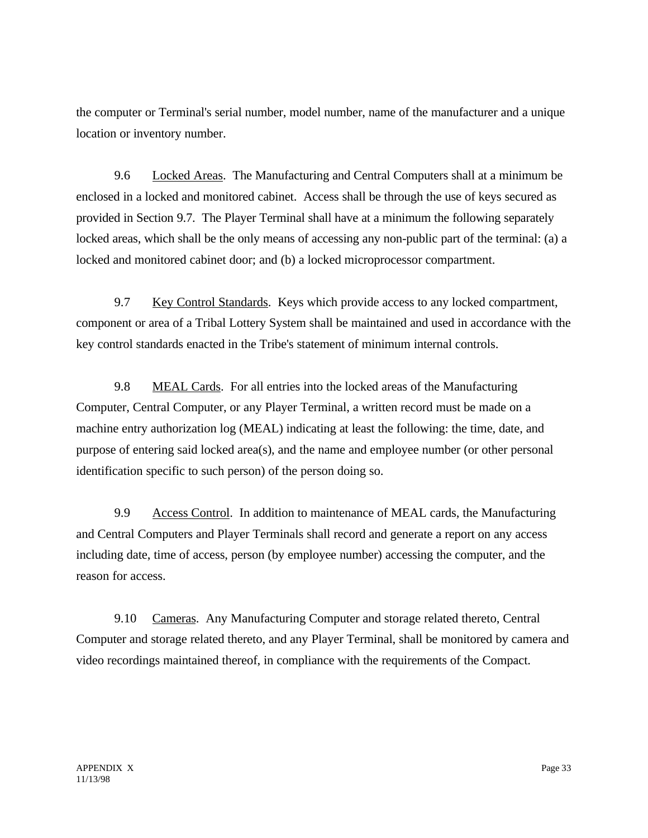the computer or Terminal's serial number, model number, name of the manufacturer and a unique location or inventory number.

9.6 Locked Areas. The Manufacturing and Central Computers shall at a minimum be enclosed in a locked and monitored cabinet. Access shall be through the use of keys secured as provided in Section 9.7. The Player Terminal shall have at a minimum the following separately locked areas, which shall be the only means of accessing any non-public part of the terminal: (a) a locked and monitored cabinet door; and (b) a locked microprocessor compartment.

9.7 Key Control Standards. Keys which provide access to any locked compartment, component or area of a Tribal Lottery System shall be maintained and used in accordance with the key control standards enacted in the Tribe's statement of minimum internal controls.

9.8 MEAL Cards. For all entries into the locked areas of the Manufacturing Computer, Central Computer, or any Player Terminal, a written record must be made on a machine entry authorization log (MEAL) indicating at least the following: the time, date, and purpose of entering said locked area(s), and the name and employee number (or other personal identification specific to such person) of the person doing so.

9.9 Access Control. In addition to maintenance of MEAL cards, the Manufacturing and Central Computers and Player Terminals shall record and generate a report on any access including date, time of access, person (by employee number) accessing the computer, and the reason for access.

9.10 Cameras. Any Manufacturing Computer and storage related thereto, Central Computer and storage related thereto, and any Player Terminal, shall be monitored by camera and video recordings maintained thereof, in compliance with the requirements of the Compact.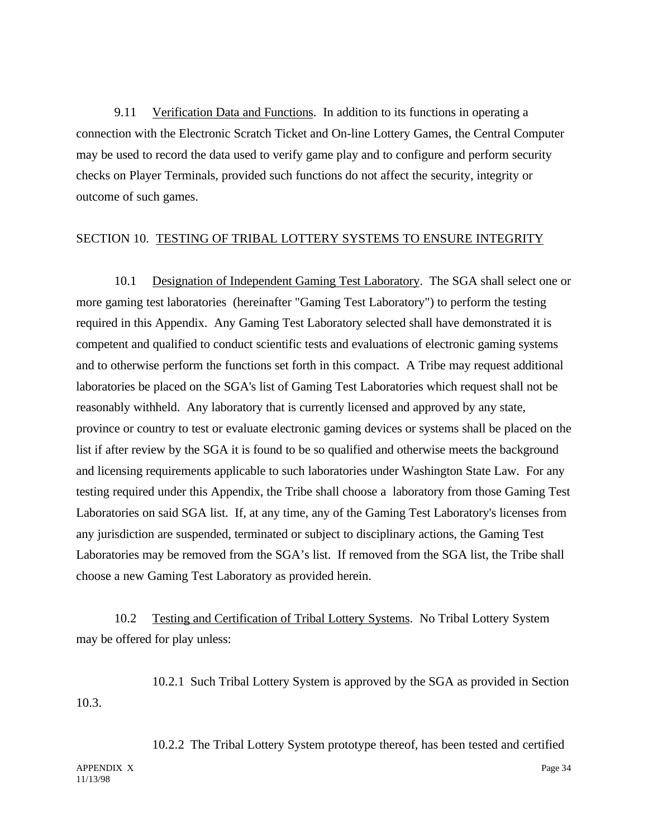9.11 Verification Data and Functions. In addition to its functions in operating a connection with the Electronic Scratch Ticket and On-line Lottery Games, the Central Computer may be used to record the data used to verify game play and to configure and perform security checks on Player Terminals, provided such functions do not affect the security, integrity or outcome of such games.

### SECTION 10. TESTING OF TRIBAL LOTTERY SYSTEMS TO ENSURE INTEGRITY

10.1 Designation of Independent Gaming Test Laboratory. The SGA shall select one or more gaming test laboratories (hereinafter "Gaming Test Laboratory") to perform the testing required in this Appendix. Any Gaming Test Laboratory selected shall have demonstrated it is competent and qualified to conduct scientific tests and evaluations of electronic gaming systems and to otherwise perform the functions set forth in this compact. A Tribe may request additional laboratories be placed on the SGA's list of Gaming Test Laboratories which request shall not be reasonably withheld. Any laboratory that is currently licensed and approved by any state, province or country to test or evaluate electronic gaming devices or systems shall be placed on the list if after review by the SGA it is found to be so qualified and otherwise meets the background and licensing requirements applicable to such laboratories under Washington State Law. For any testing required under this Appendix, the Tribe shall choose a laboratory from those Gaming Test Laboratories on said SGA list. If, at any time, any of the Gaming Test Laboratory's licenses from any jurisdiction are suspended, terminated or subject to disciplinary actions, the Gaming Test Laboratories may be removed from the SGA's list. If removed from the SGA list, the Tribe shall choose a new Gaming Test Laboratory as provided herein.

10.2 Testing and Certification of Tribal Lottery Systems. No Tribal Lottery System may be offered for play unless:

10.2.1 Such Tribal Lottery System is approved by the SGA as provided in Section 10.3.

11/13/98

APPENDIX X Page 34 10.2.2 The Tribal Lottery System prototype thereof, has been tested and certified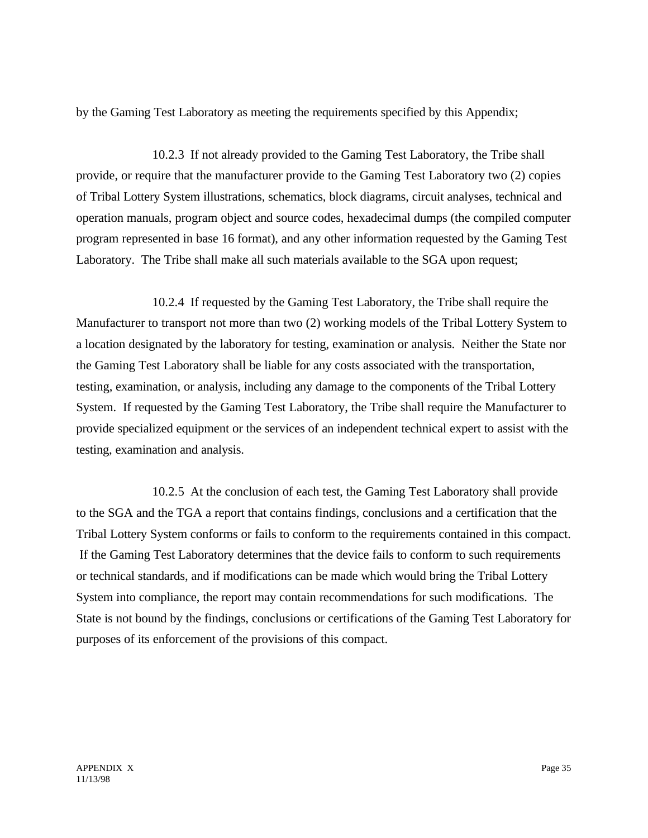by the Gaming Test Laboratory as meeting the requirements specified by this Appendix;

10.2.3 If not already provided to the Gaming Test Laboratory, the Tribe shall provide, or require that the manufacturer provide to the Gaming Test Laboratory two (2) copies of Tribal Lottery System illustrations, schematics, block diagrams, circuit analyses, technical and operation manuals, program object and source codes, hexadecimal dumps (the compiled computer program represented in base 16 format), and any other information requested by the Gaming Test Laboratory. The Tribe shall make all such materials available to the SGA upon request;

10.2.4 If requested by the Gaming Test Laboratory, the Tribe shall require the Manufacturer to transport not more than two (2) working models of the Tribal Lottery System to a location designated by the laboratory for testing, examination or analysis. Neither the State nor the Gaming Test Laboratory shall be liable for any costs associated with the transportation, testing, examination, or analysis, including any damage to the components of the Tribal Lottery System. If requested by the Gaming Test Laboratory, the Tribe shall require the Manufacturer to provide specialized equipment or the services of an independent technical expert to assist with the testing, examination and analysis.

10.2.5 At the conclusion of each test, the Gaming Test Laboratory shall provide to the SGA and the TGA a report that contains findings, conclusions and a certification that the Tribal Lottery System conforms or fails to conform to the requirements contained in this compact. If the Gaming Test Laboratory determines that the device fails to conform to such requirements or technical standards, and if modifications can be made which would bring the Tribal Lottery System into compliance, the report may contain recommendations for such modifications. The State is not bound by the findings, conclusions or certifications of the Gaming Test Laboratory for purposes of its enforcement of the provisions of this compact.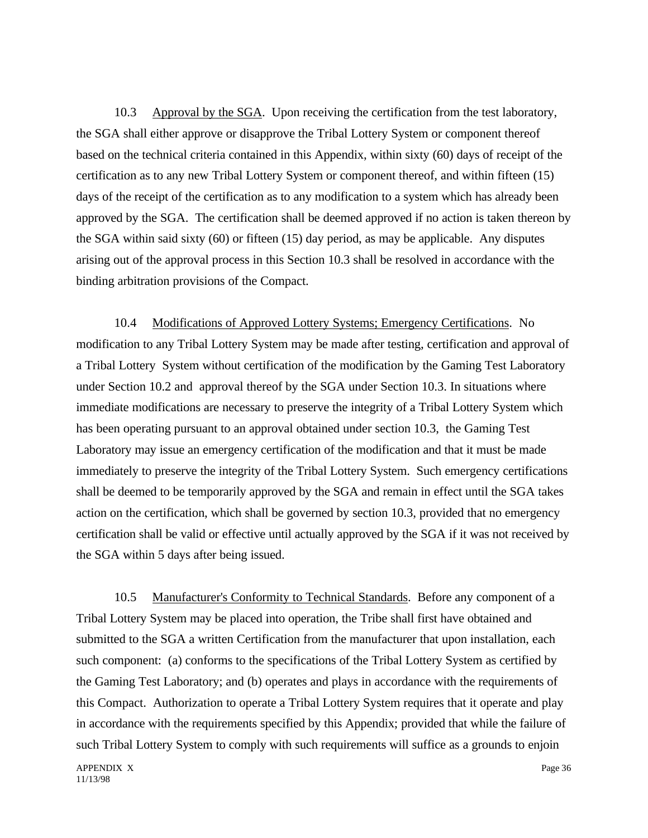10.3 Approval by the SGA. Upon receiving the certification from the test laboratory, the SGA shall either approve or disapprove the Tribal Lottery System or component thereof based on the technical criteria contained in this Appendix, within sixty (60) days of receipt of the certification as to any new Tribal Lottery System or component thereof, and within fifteen (15) days of the receipt of the certification as to any modification to a system which has already been approved by the SGA. The certification shall be deemed approved if no action is taken thereon by the SGA within said sixty (60) or fifteen (15) day period, as may be applicable. Any disputes arising out of the approval process in this Section 10.3 shall be resolved in accordance with the binding arbitration provisions of the Compact.

10.4 Modifications of Approved Lottery Systems; Emergency Certifications. No modification to any Tribal Lottery System may be made after testing, certification and approval of a Tribal Lottery System without certification of the modification by the Gaming Test Laboratory under Section 10.2 and approval thereof by the SGA under Section 10.3. In situations where immediate modifications are necessary to preserve the integrity of a Tribal Lottery System which has been operating pursuant to an approval obtained under section 10.3, the Gaming Test Laboratory may issue an emergency certification of the modification and that it must be made immediately to preserve the integrity of the Tribal Lottery System. Such emergency certifications shall be deemed to be temporarily approved by the SGA and remain in effect until the SGA takes action on the certification, which shall be governed by section 10.3, provided that no emergency certification shall be valid or effective until actually approved by the SGA if it was not received by the SGA within 5 days after being issued.

10.5 Manufacturer's Conformity to Technical Standards. Before any component of a Tribal Lottery System may be placed into operation, the Tribe shall first have obtained and submitted to the SGA a written Certification from the manufacturer that upon installation, each such component: (a) conforms to the specifications of the Tribal Lottery System as certified by the Gaming Test Laboratory; and (b) operates and plays in accordance with the requirements of this Compact. Authorization to operate a Tribal Lottery System requires that it operate and play in accordance with the requirements specified by this Appendix; provided that while the failure of such Tribal Lottery System to comply with such requirements will suffice as a grounds to enjoin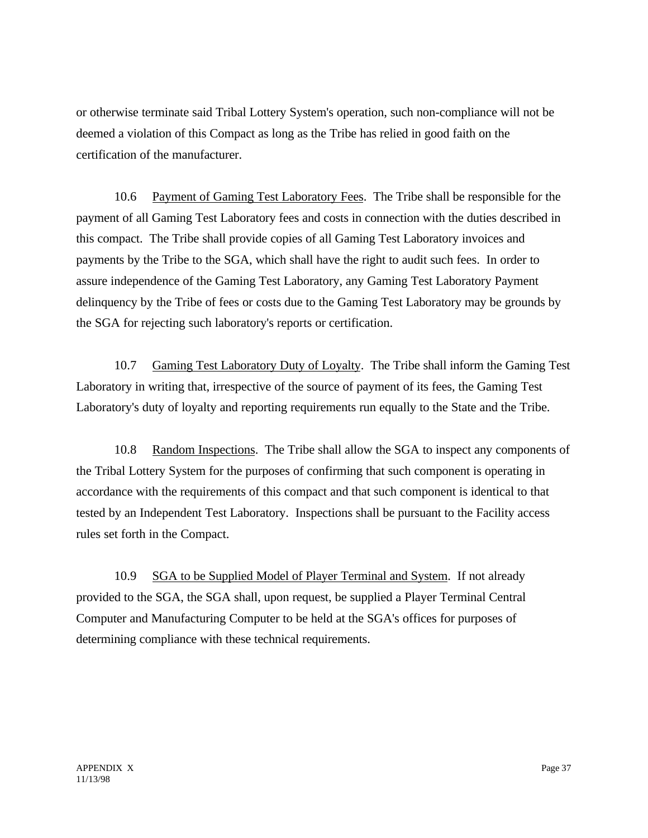or otherwise terminate said Tribal Lottery System's operation, such non-compliance will not be deemed a violation of this Compact as long as the Tribe has relied in good faith on the certification of the manufacturer.

10.6 Payment of Gaming Test Laboratory Fees. The Tribe shall be responsible for the payment of all Gaming Test Laboratory fees and costs in connection with the duties described in this compact. The Tribe shall provide copies of all Gaming Test Laboratory invoices and payments by the Tribe to the SGA, which shall have the right to audit such fees. In order to assure independence of the Gaming Test Laboratory, any Gaming Test Laboratory Payment delinquency by the Tribe of fees or costs due to the Gaming Test Laboratory may be grounds by the SGA for rejecting such laboratory's reports or certification.

10.7 Gaming Test Laboratory Duty of Loyalty. The Tribe shall inform the Gaming Test Laboratory in writing that, irrespective of the source of payment of its fees, the Gaming Test Laboratory's duty of loyalty and reporting requirements run equally to the State and the Tribe.

10.8 Random Inspections. The Tribe shall allow the SGA to inspect any components of the Tribal Lottery System for the purposes of confirming that such component is operating in accordance with the requirements of this compact and that such component is identical to that tested by an Independent Test Laboratory. Inspections shall be pursuant to the Facility access rules set forth in the Compact.

10.9 SGA to be Supplied Model of Player Terminal and System. If not already provided to the SGA, the SGA shall, upon request, be supplied a Player Terminal Central Computer and Manufacturing Computer to be held at the SGA's offices for purposes of determining compliance with these technical requirements.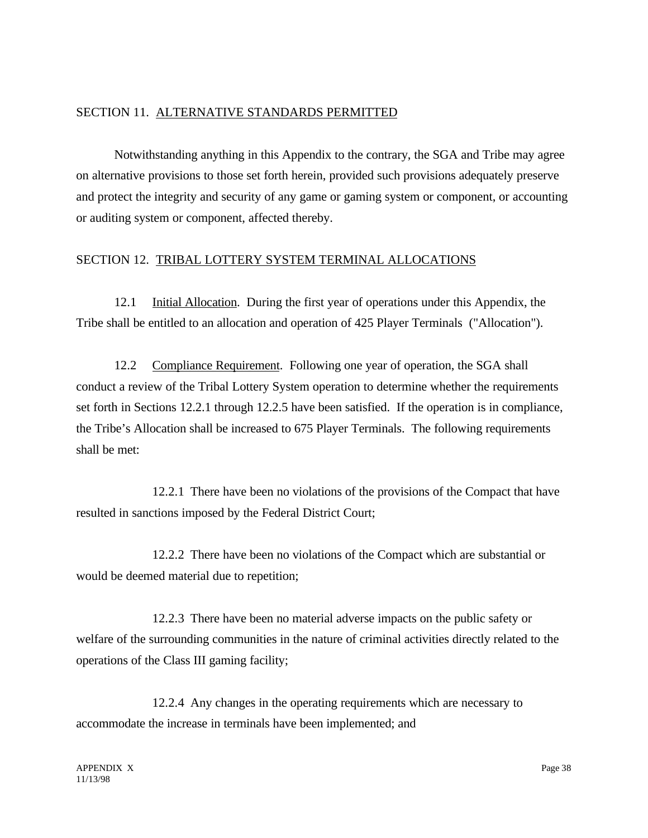#### SECTION 11. ALTERNATIVE STANDARDS PERMITTED

Notwithstanding anything in this Appendix to the contrary, the SGA and Tribe may agree on alternative provisions to those set forth herein, provided such provisions adequately preserve and protect the integrity and security of any game or gaming system or component, or accounting or auditing system or component, affected thereby.

#### SECTION 12. TRIBAL LOTTERY SYSTEM TERMINAL ALLOCATIONS

12.1 Initial Allocation. During the first year of operations under this Appendix, the Tribe shall be entitled to an allocation and operation of 425 Player Terminals ("Allocation").

12.2 Compliance Requirement. Following one year of operation, the SGA shall conduct a review of the Tribal Lottery System operation to determine whether the requirements set forth in Sections 12.2.1 through 12.2.5 have been satisfied. If the operation is in compliance, the Tribe's Allocation shall be increased to 675 Player Terminals. The following requirements shall be met:

12.2.1 There have been no violations of the provisions of the Compact that have resulted in sanctions imposed by the Federal District Court;

12.2.2 There have been no violations of the Compact which are substantial or would be deemed material due to repetition;

12.2.3 There have been no material adverse impacts on the public safety or welfare of the surrounding communities in the nature of criminal activities directly related to the operations of the Class III gaming facility;

12.2.4 Any changes in the operating requirements which are necessary to accommodate the increase in terminals have been implemented; and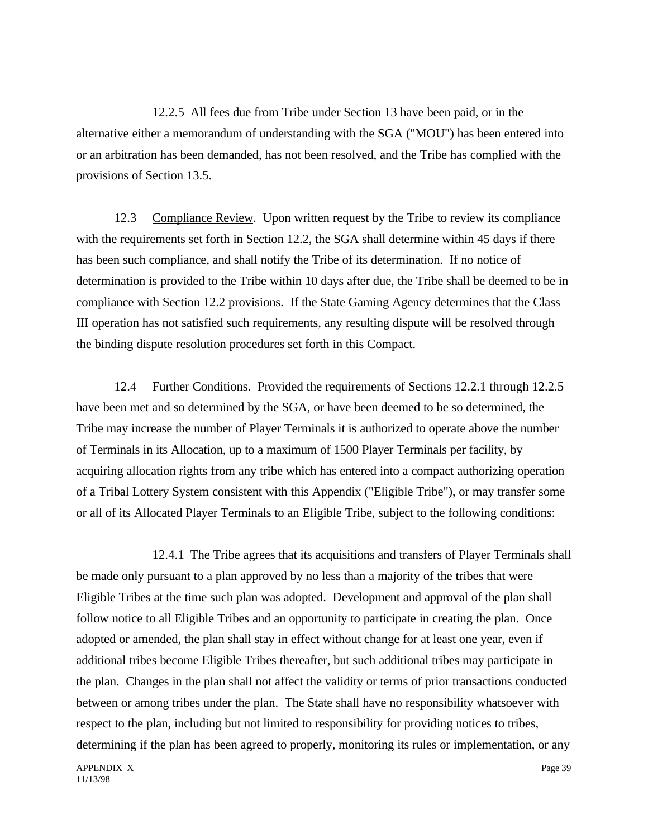12.2.5 All fees due from Tribe under Section 13 have been paid, or in the alternative either a memorandum of understanding with the SGA ("MOU") has been entered into or an arbitration has been demanded, has not been resolved, and the Tribe has complied with the provisions of Section 13.5.

12.3 Compliance Review. Upon written request by the Tribe to review its compliance with the requirements set forth in Section 12.2, the SGA shall determine within 45 days if there has been such compliance, and shall notify the Tribe of its determination. If no notice of determination is provided to the Tribe within 10 days after due, the Tribe shall be deemed to be in compliance with Section 12.2 provisions. If the State Gaming Agency determines that the Class III operation has not satisfied such requirements, any resulting dispute will be resolved through the binding dispute resolution procedures set forth in this Compact.

12.4 Further Conditions. Provided the requirements of Sections 12.2.1 through 12.2.5 have been met and so determined by the SGA, or have been deemed to be so determined, the Tribe may increase the number of Player Terminals it is authorized to operate above the number of Terminals in its Allocation, up to a maximum of 1500 Player Terminals per facility, by acquiring allocation rights from any tribe which has entered into a compact authorizing operation of a Tribal Lottery System consistent with this Appendix ("Eligible Tribe"), or may transfer some or all of its Allocated Player Terminals to an Eligible Tribe, subject to the following conditions:

12.4.1 The Tribe agrees that its acquisitions and transfers of Player Terminals shall be made only pursuant to a plan approved by no less than a majority of the tribes that were Eligible Tribes at the time such plan was adopted. Development and approval of the plan shall follow notice to all Eligible Tribes and an opportunity to participate in creating the plan. Once adopted or amended, the plan shall stay in effect without change for at least one year, even if additional tribes become Eligible Tribes thereafter, but such additional tribes may participate in the plan. Changes in the plan shall not affect the validity or terms of prior transactions conducted between or among tribes under the plan. The State shall have no responsibility whatsoever with respect to the plan, including but not limited to responsibility for providing notices to tribes, determining if the plan has been agreed to properly, monitoring its rules or implementation, or any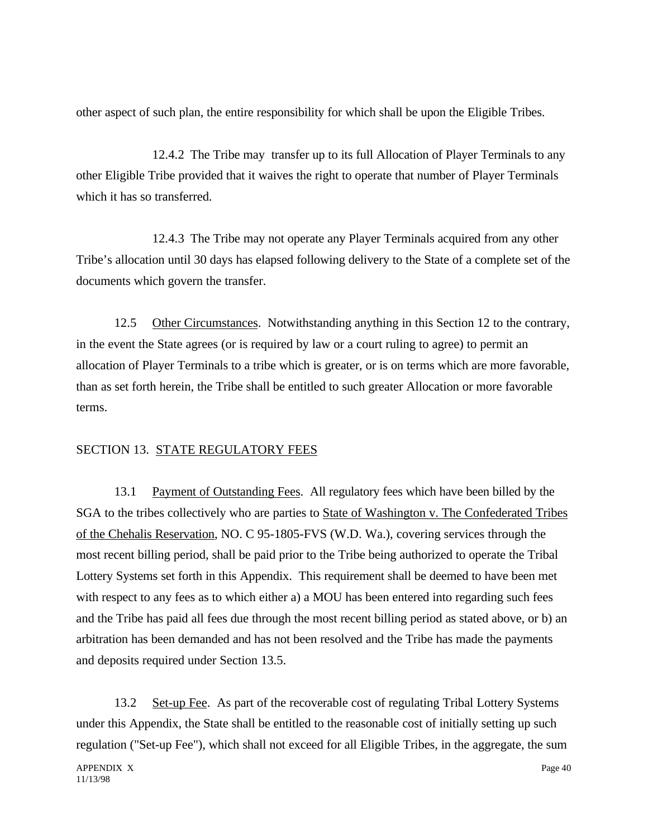other aspect of such plan, the entire responsibility for which shall be upon the Eligible Tribes.

12.4.2 The Tribe may transfer up to its full Allocation of Player Terminals to any other Eligible Tribe provided that it waives the right to operate that number of Player Terminals which it has so transferred.

12.4.3 The Tribe may not operate any Player Terminals acquired from any other Tribe's allocation until 30 days has elapsed following delivery to the State of a complete set of the documents which govern the transfer.

12.5 Other Circumstances. Notwithstanding anything in this Section 12 to the contrary, in the event the State agrees (or is required by law or a court ruling to agree) to permit an allocation of Player Terminals to a tribe which is greater, or is on terms which are more favorable, than as set forth herein, the Tribe shall be entitled to such greater Allocation or more favorable terms.

## SECTION 13. STATE REGULATORY FEES

13.1 Payment of Outstanding Fees. All regulatory fees which have been billed by the SGA to the tribes collectively who are parties to State of Washington v. The Confederated Tribes of the Chehalis Reservation, NO. C 95-1805-FVS (W.D. Wa.), covering services through the most recent billing period, shall be paid prior to the Tribe being authorized to operate the Tribal Lottery Systems set forth in this Appendix. This requirement shall be deemed to have been met with respect to any fees as to which either a) a MOU has been entered into regarding such fees and the Tribe has paid all fees due through the most recent billing period as stated above, or b) an arbitration has been demanded and has not been resolved and the Tribe has made the payments and deposits required under Section 13.5.

13.2 Set-up Fee. As part of the recoverable cost of regulating Tribal Lottery Systems under this Appendix, the State shall be entitled to the reasonable cost of initially setting up such regulation ("Set-up Fee"), which shall not exceed for all Eligible Tribes, in the aggregate, the sum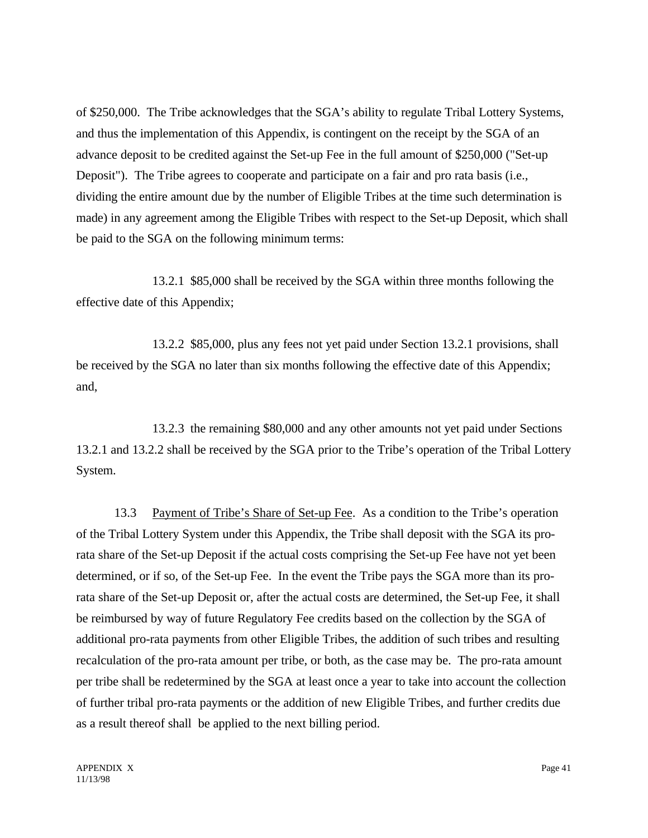of \$250,000. The Tribe acknowledges that the SGA's ability to regulate Tribal Lottery Systems, and thus the implementation of this Appendix, is contingent on the receipt by the SGA of an advance deposit to be credited against the Set-up Fee in the full amount of \$250,000 ("Set-up Deposit"). The Tribe agrees to cooperate and participate on a fair and pro rata basis (i.e., dividing the entire amount due by the number of Eligible Tribes at the time such determination is made) in any agreement among the Eligible Tribes with respect to the Set-up Deposit, which shall be paid to the SGA on the following minimum terms:

13.2.1 \$85,000 shall be received by the SGA within three months following the effective date of this Appendix;

13.2.2 \$85,000, plus any fees not yet paid under Section 13.2.1 provisions, shall be received by the SGA no later than six months following the effective date of this Appendix; and,

13.2.3 the remaining \$80,000 and any other amounts not yet paid under Sections 13.2.1 and 13.2.2 shall be received by the SGA prior to the Tribe's operation of the Tribal Lottery System.

13.3 Payment of Tribe's Share of Set-up Fee. As a condition to the Tribe's operation of the Tribal Lottery System under this Appendix, the Tribe shall deposit with the SGA its prorata share of the Set-up Deposit if the actual costs comprising the Set-up Fee have not yet been determined, or if so, of the Set-up Fee. In the event the Tribe pays the SGA more than its prorata share of the Set-up Deposit or, after the actual costs are determined, the Set-up Fee, it shall be reimbursed by way of future Regulatory Fee credits based on the collection by the SGA of additional pro-rata payments from other Eligible Tribes, the addition of such tribes and resulting recalculation of the pro-rata amount per tribe, or both, as the case may be. The pro-rata amount per tribe shall be redetermined by the SGA at least once a year to take into account the collection of further tribal pro-rata payments or the addition of new Eligible Tribes, and further credits due as a result thereof shall be applied to the next billing period.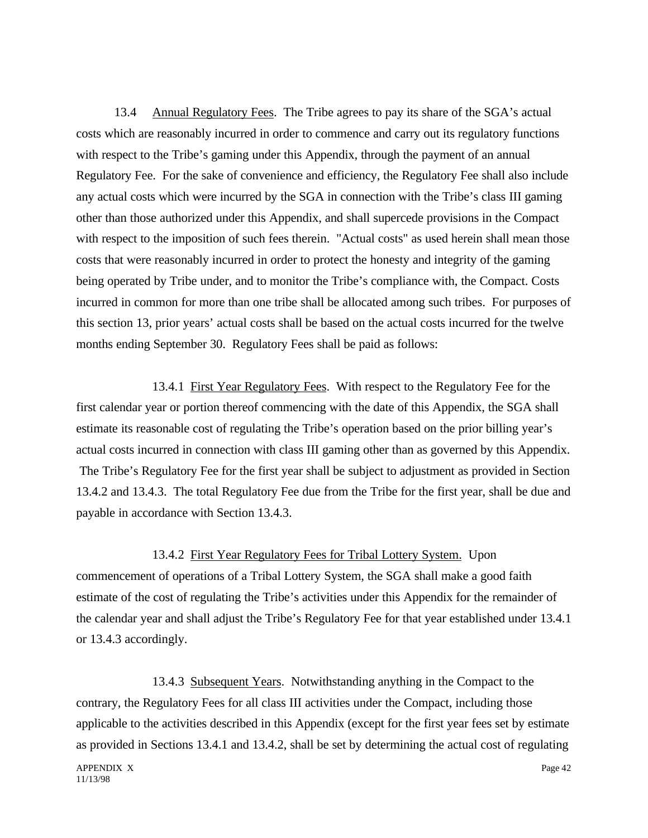13.4 Annual Regulatory Fees. The Tribe agrees to pay its share of the SGA's actual costs which are reasonably incurred in order to commence and carry out its regulatory functions with respect to the Tribe's gaming under this Appendix, through the payment of an annual Regulatory Fee. For the sake of convenience and efficiency, the Regulatory Fee shall also include any actual costs which were incurred by the SGA in connection with the Tribe's class III gaming other than those authorized under this Appendix, and shall supercede provisions in the Compact with respect to the imposition of such fees therein. "Actual costs" as used herein shall mean those costs that were reasonably incurred in order to protect the honesty and integrity of the gaming being operated by Tribe under, and to monitor the Tribe's compliance with, the Compact. Costs incurred in common for more than one tribe shall be allocated among such tribes. For purposes of this section 13, prior years' actual costs shall be based on the actual costs incurred for the twelve months ending September 30. Regulatory Fees shall be paid as follows:

13.4.1 First Year Regulatory Fees. With respect to the Regulatory Fee for the first calendar year or portion thereof commencing with the date of this Appendix, the SGA shall estimate its reasonable cost of regulating the Tribe's operation based on the prior billing year's actual costs incurred in connection with class III gaming other than as governed by this Appendix. The Tribe's Regulatory Fee for the first year shall be subject to adjustment as provided in Section 13.4.2 and 13.4.3. The total Regulatory Fee due from the Tribe for the first year, shall be due and payable in accordance with Section 13.4.3.

13.4.2 First Year Regulatory Fees for Tribal Lottery System. Upon commencement of operations of a Tribal Lottery System, the SGA shall make a good faith estimate of the cost of regulating the Tribe's activities under this Appendix for the remainder of the calendar year and shall adjust the Tribe's Regulatory Fee for that year established under 13.4.1 or 13.4.3 accordingly.

13.4.3 Subsequent Years. Notwithstanding anything in the Compact to the contrary, the Regulatory Fees for all class III activities under the Compact, including those applicable to the activities described in this Appendix (except for the first year fees set by estimate as provided in Sections 13.4.1 and 13.4.2, shall be set by determining the actual cost of regulating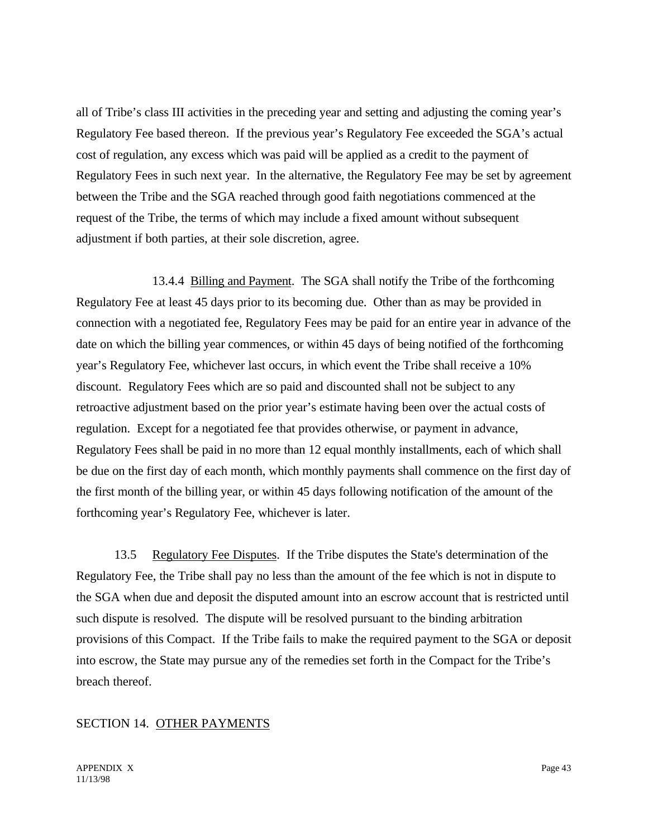all of Tribe's class III activities in the preceding year and setting and adjusting the coming year's Regulatory Fee based thereon. If the previous year's Regulatory Fee exceeded the SGA's actual cost of regulation, any excess which was paid will be applied as a credit to the payment of Regulatory Fees in such next year. In the alternative, the Regulatory Fee may be set by agreement between the Tribe and the SGA reached through good faith negotiations commenced at the request of the Tribe, the terms of which may include a fixed amount without subsequent adjustment if both parties, at their sole discretion, agree.

13.4.4 Billing and Payment. The SGA shall notify the Tribe of the forthcoming Regulatory Fee at least 45 days prior to its becoming due. Other than as may be provided in connection with a negotiated fee, Regulatory Fees may be paid for an entire year in advance of the date on which the billing year commences, or within 45 days of being notified of the forthcoming year's Regulatory Fee, whichever last occurs, in which event the Tribe shall receive a 10% discount. Regulatory Fees which are so paid and discounted shall not be subject to any retroactive adjustment based on the prior year's estimate having been over the actual costs of regulation. Except for a negotiated fee that provides otherwise, or payment in advance, Regulatory Fees shall be paid in no more than 12 equal monthly installments, each of which shall be due on the first day of each month, which monthly payments shall commence on the first day of the first month of the billing year, or within 45 days following notification of the amount of the forthcoming year's Regulatory Fee, whichever is later.

13.5 Regulatory Fee Disputes. If the Tribe disputes the State's determination of the Regulatory Fee, the Tribe shall pay no less than the amount of the fee which is not in dispute to the SGA when due and deposit the disputed amount into an escrow account that is restricted until such dispute is resolved. The dispute will be resolved pursuant to the binding arbitration provisions of this Compact. If the Tribe fails to make the required payment to the SGA or deposit into escrow, the State may pursue any of the remedies set forth in the Compact for the Tribe's breach thereof.

### SECTION 14. OTHER PAYMENTS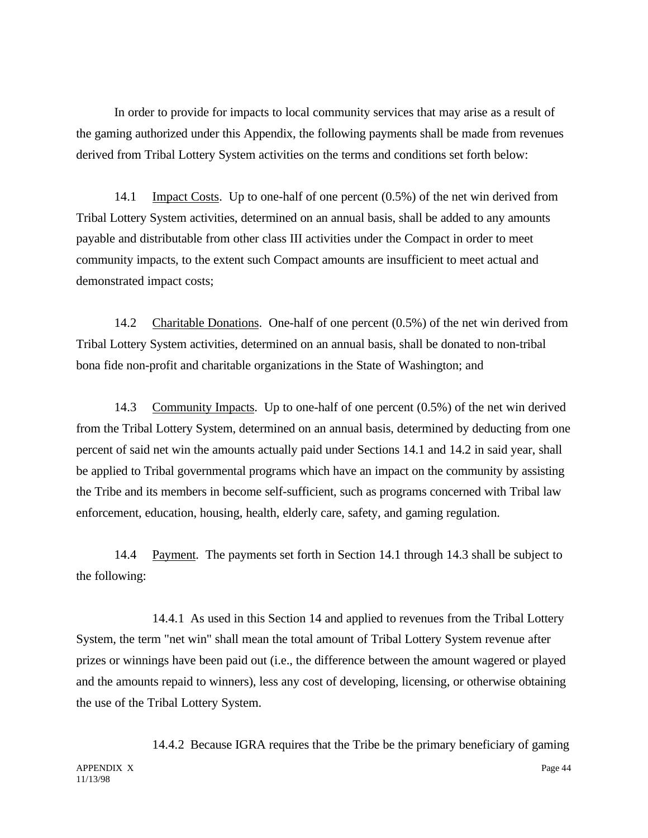In order to provide for impacts to local community services that may arise as a result of the gaming authorized under this Appendix, the following payments shall be made from revenues derived from Tribal Lottery System activities on the terms and conditions set forth below:

14.1 Impact Costs. Up to one-half of one percent (0.5%) of the net win derived from Tribal Lottery System activities, determined on an annual basis, shall be added to any amounts payable and distributable from other class III activities under the Compact in order to meet community impacts, to the extent such Compact amounts are insufficient to meet actual and demonstrated impact costs;

14.2 Charitable Donations. One-half of one percent (0.5%) of the net win derived from Tribal Lottery System activities, determined on an annual basis, shall be donated to non-tribal bona fide non-profit and charitable organizations in the State of Washington; and

14.3 Community Impacts. Up to one-half of one percent (0.5%) of the net win derived from the Tribal Lottery System, determined on an annual basis, determined by deducting from one percent of said net win the amounts actually paid under Sections 14.1 and 14.2 in said year, shall be applied to Tribal governmental programs which have an impact on the community by assisting the Tribe and its members in become self-sufficient, such as programs concerned with Tribal law enforcement, education, housing, health, elderly care, safety, and gaming regulation.

14.4 Payment. The payments set forth in Section 14.1 through 14.3 shall be subject to the following:

14.4.1 As used in this Section 14 and applied to revenues from the Tribal Lottery System, the term "net win" shall mean the total amount of Tribal Lottery System revenue after prizes or winnings have been paid out (i.e., the difference between the amount wagered or played and the amounts repaid to winners), less any cost of developing, licensing, or otherwise obtaining the use of the Tribal Lottery System.

11/13/98

APPENDIX X Page 44 14.4.2 Because IGRA requires that the Tribe be the primary beneficiary of gaming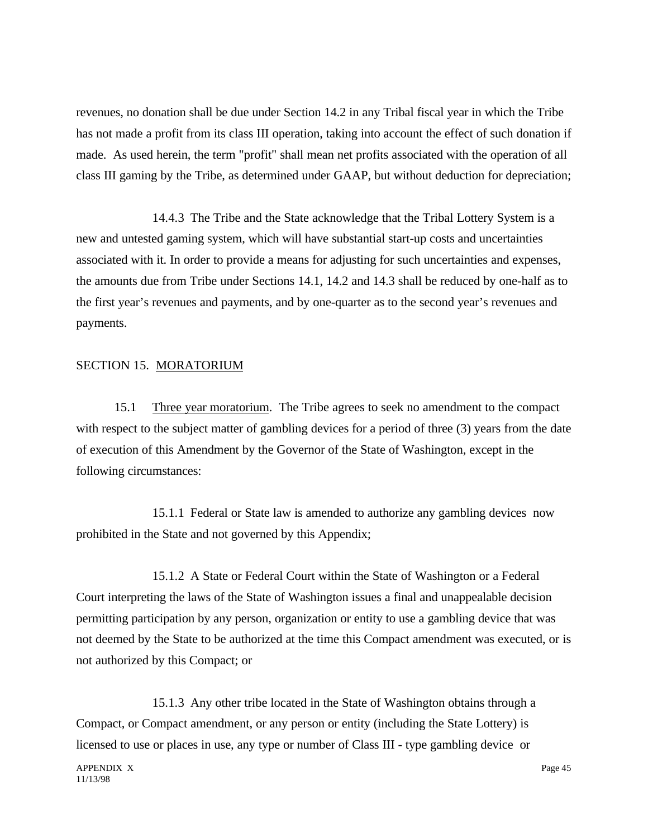revenues, no donation shall be due under Section 14.2 in any Tribal fiscal year in which the Tribe has not made a profit from its class III operation, taking into account the effect of such donation if made. As used herein, the term "profit" shall mean net profits associated with the operation of all class III gaming by the Tribe, as determined under GAAP, but without deduction for depreciation;

14.4.3 The Tribe and the State acknowledge that the Tribal Lottery System is a new and untested gaming system, which will have substantial start-up costs and uncertainties associated with it. In order to provide a means for adjusting for such uncertainties and expenses, the amounts due from Tribe under Sections 14.1, 14.2 and 14.3 shall be reduced by one-half as to the first year's revenues and payments, and by one-quarter as to the second year's revenues and payments.

#### SECTION 15. MORATORIUM

15.1 Three year moratorium. The Tribe agrees to seek no amendment to the compact with respect to the subject matter of gambling devices for a period of three (3) years from the date of execution of this Amendment by the Governor of the State of Washington, except in the following circumstances:

15.1.1 Federal or State law is amended to authorize any gambling devices now prohibited in the State and not governed by this Appendix;

15.1.2 A State or Federal Court within the State of Washington or a Federal Court interpreting the laws of the State of Washington issues a final and unappealable decision permitting participation by any person, organization or entity to use a gambling device that was not deemed by the State to be authorized at the time this Compact amendment was executed, or is not authorized by this Compact; or

15.1.3 Any other tribe located in the State of Washington obtains through a Compact, or Compact amendment, or any person or entity (including the State Lottery) is licensed to use or places in use, any type or number of Class III - type gambling device or